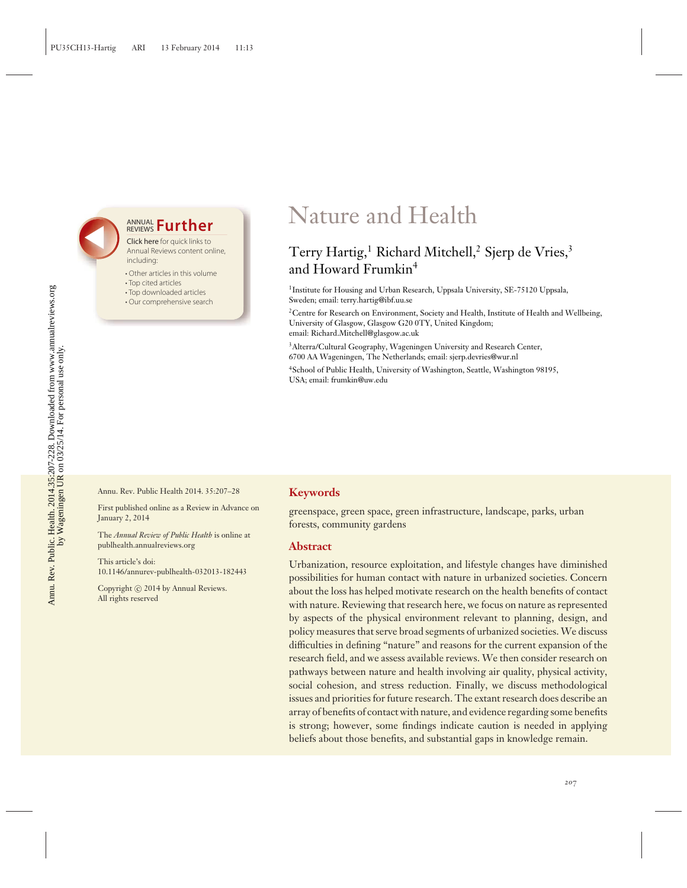# **ANNUAL Further**

Click here for quick links to Annual Reviews content online, including:

- Other articles in this volume
- Top cited articles
- Top downloaded articles
- Our comprehensive search

# Nature and Health

# Terry Hartig,<sup>1</sup> Richard Mitchell,<sup>2</sup> Sjerp de Vries,<sup>3</sup> and Howard Frumkin<sup>4</sup>

<sup>1</sup>Institute for Housing and Urban Research, Uppsala University, SE-75120 Uppsala, Sweden; email: terry.hartig@ibf.uu.se

<sup>2</sup>Centre for Research on Environment, Society and Health, Institute of Health and Wellbeing, University of Glasgow, Glasgow G20 0TY, United Kingdom; email: Richard.Mitchell@glasgow.ac.uk

3Alterra/Cultural Geography, Wageningen University and Research Center, 6700 AA Wageningen, The Netherlands; email: sjerp.devries@wur.nl

4School of Public Health, University of Washington, Seattle, Washington 98195, USA; email: frumkin@uw.edu

Annu. Rev. Public Health 2014. 35:207–28

First published online as a Review in Advance on January 2, 2014

The *Annual Review of Public Health* is online at publhealth.annualreviews.org

This article's doi: 10.1146/annurev-publhealth-032013-182443

Copyright © 2014 by Annual Reviews. All rights reserved

#### **Keywords**

greenspace, green space, green infrastructure, landscape, parks, urban forests, community gardens

#### **Abstract**

Urbanization, resource exploitation, and lifestyle changes have diminished possibilities for human contact with nature in urbanized societies. Concern about the loss has helped motivate research on the health benefits of contact with nature. Reviewing that research here, we focus on nature as represented by aspects of the physical environment relevant to planning, design, and policy measures that serve broad segments of urbanized societies. We discuss difficulties in defining "nature" and reasons for the current expansion of the research field, and we assess available reviews. We then consider research on pathways between nature and health involving air quality, physical activity, social cohesion, and stress reduction. Finally, we discuss methodological issues and priorities for future research. The extant research does describe an array of benefits of contact with nature, and evidence regarding some benefits is strong; however, some findings indicate caution is needed in applying beliefs about those benefits, and substantial gaps in knowledge remain.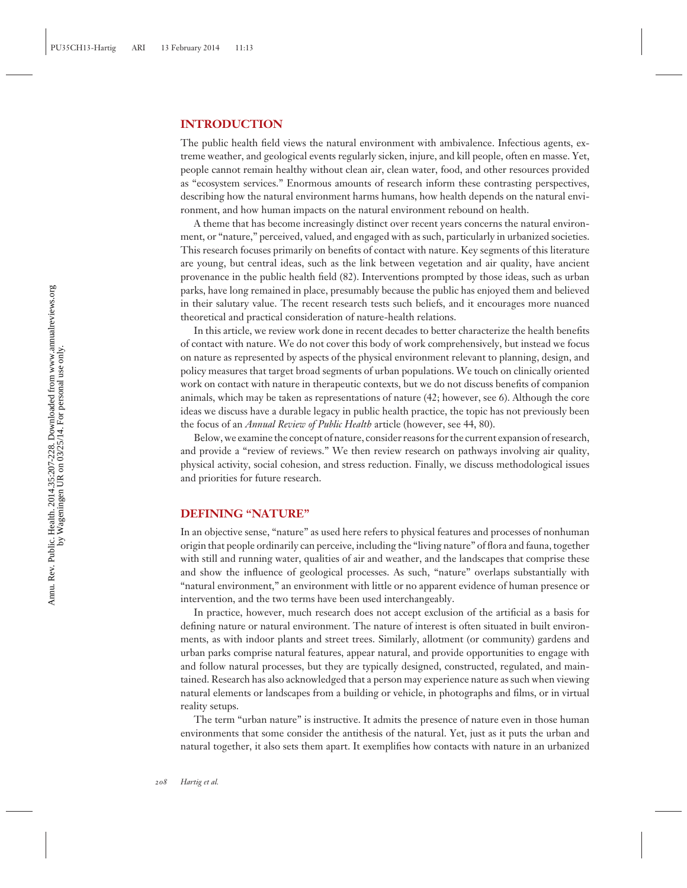#### **INTRODUCTION**

The public health field views the natural environment with ambivalence. Infectious agents, extreme weather, and geological events regularly sicken, injure, and kill people, often en masse. Yet, people cannot remain healthy without clean air, clean water, food, and other resources provided as "ecosystem services." Enormous amounts of research inform these contrasting perspectives, describing how the natural environment harms humans, how health depends on the natural environment, and how human impacts on the natural environment rebound on health.

A theme that has become increasingly distinct over recent years concerns the natural environment, or "nature," perceived, valued, and engaged with as such, particularly in urbanized societies. This research focuses primarily on benefits of contact with nature. Key segments of this literature are young, but central ideas, such as the link between vegetation and air quality, have ancient provenance in the public health field (82). Interventions prompted by those ideas, such as urban parks, have long remained in place, presumably because the public has enjoyed them and believed in their salutary value. The recent research tests such beliefs, and it encourages more nuanced theoretical and practical consideration of nature-health relations.

In this article, we review work done in recent decades to better characterize the health benefits of contact with nature. We do not cover this body of work comprehensively, but instead we focus on nature as represented by aspects of the physical environment relevant to planning, design, and policy measures that target broad segments of urban populations. We touch on clinically oriented work on contact with nature in therapeutic contexts, but we do not discuss benefits of companion animals, which may be taken as representations of nature (42; however, see 6). Although the core ideas we discuss have a durable legacy in public health practice, the topic has not previously been the focus of an *Annual Review of Public Health* article (however, see 44, 80).

Below, we examine the concept of nature, consider reasons for the current expansion of research, and provide a "review of reviews." We then review research on pathways involving air quality, physical activity, social cohesion, and stress reduction. Finally, we discuss methodological issues and priorities for future research.

#### **DEFINING "NATURE"**

In an objective sense, "nature" as used here refers to physical features and processes of nonhuman origin that people ordinarily can perceive, including the "living nature" of flora and fauna, together with still and running water, qualities of air and weather, and the landscapes that comprise these and show the influence of geological processes. As such, "nature" overlaps substantially with "natural environment," an environment with little or no apparent evidence of human presence or intervention, and the two terms have been used interchangeably.

In practice, however, much research does not accept exclusion of the artificial as a basis for defining nature or natural environment. The nature of interest is often situated in built environments, as with indoor plants and street trees. Similarly, allotment (or community) gardens and urban parks comprise natural features, appear natural, and provide opportunities to engage with and follow natural processes, but they are typically designed, constructed, regulated, and maintained. Research has also acknowledged that a person may experience nature as such when viewing natural elements or landscapes from a building or vehicle, in photographs and films, or in virtual reality setups.

The term "urban nature" is instructive. It admits the presence of nature even in those human environments that some consider the antithesis of the natural. Yet, just as it puts the urban and natural together, it also sets them apart. It exemplifies how contacts with nature in an urbanized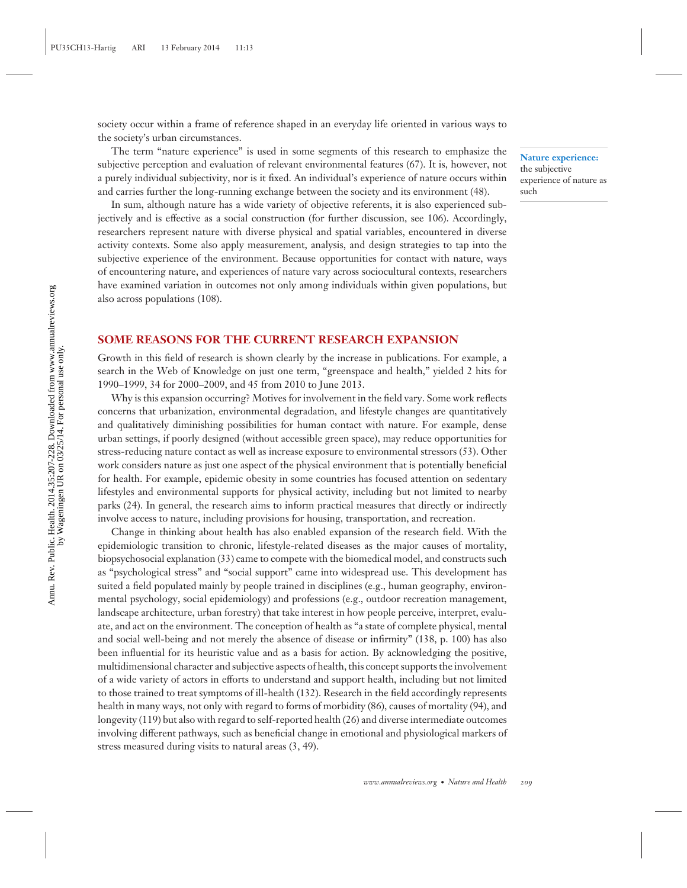society occur within a frame of reference shaped in an everyday life oriented in various ways to the society's urban circumstances.

The term "nature experience" is used in some segments of this research to emphasize the subjective perception and evaluation of relevant environmental features (67). It is, however, not a purely individual subjectivity, nor is it fixed. An individual's experience of nature occurs within and carries further the long-running exchange between the society and its environment (48).

In sum, although nature has a wide variety of objective referents, it is also experienced subjectively and is effective as a social construction (for further discussion, see 106). Accordingly, researchers represent nature with diverse physical and spatial variables, encountered in diverse activity contexts. Some also apply measurement, analysis, and design strategies to tap into the subjective experience of the environment. Because opportunities for contact with nature, ways of encountering nature, and experiences of nature vary across sociocultural contexts, researchers have examined variation in outcomes not only among individuals within given populations, but also across populations (108).

#### **SOME REASONS FOR THE CURRENT RESEARCH EXPANSION**

Growth in this field of research is shown clearly by the increase in publications. For example, a search in the Web of Knowledge on just one term, "greenspace and health," yielded 2 hits for 1990–1999, 34 for 2000–2009, and 45 from 2010 to June 2013.

Why is this expansion occurring? Motives for involvement in the field vary. Some work reflects concerns that urbanization, environmental degradation, and lifestyle changes are quantitatively and qualitatively diminishing possibilities for human contact with nature. For example, dense urban settings, if poorly designed (without accessible green space), may reduce opportunities for stress-reducing nature contact as well as increase exposure to environmental stressors (53). Other work considers nature as just one aspect of the physical environment that is potentially beneficial for health. For example, epidemic obesity in some countries has focused attention on sedentary lifestyles and environmental supports for physical activity, including but not limited to nearby parks (24). In general, the research aims to inform practical measures that directly or indirectly involve access to nature, including provisions for housing, transportation, and recreation.

Change in thinking about health has also enabled expansion of the research field. With the epidemiologic transition to chronic, lifestyle-related diseases as the major causes of mortality, biopsychosocial explanation (33) came to compete with the biomedical model, and constructs such as "psychological stress" and "social support" came into widespread use. This development has suited a field populated mainly by people trained in disciplines (e.g., human geography, environmental psychology, social epidemiology) and professions (e.g., outdoor recreation management, landscape architecture, urban forestry) that take interest in how people perceive, interpret, evaluate, and act on the environment. The conception of health as "a state of complete physical, mental and social well-being and not merely the absence of disease or infirmity" (138, p. 100) has also been influential for its heuristic value and as a basis for action. By acknowledging the positive, multidimensional character and subjective aspects of health, this concept supports the involvement of a wide variety of actors in efforts to understand and support health, including but not limited to those trained to treat symptoms of ill-health (132). Research in the field accordingly represents health in many ways, not only with regard to forms of morbidity (86), causes of mortality (94), and longevity (119) but also with regard to self-reported health (26) and diverse intermediate outcomes involving different pathways, such as beneficial change in emotional and physiological markers of stress measured during visits to natural areas (3, 49).

**Nature experience:** the subjective experience of nature as such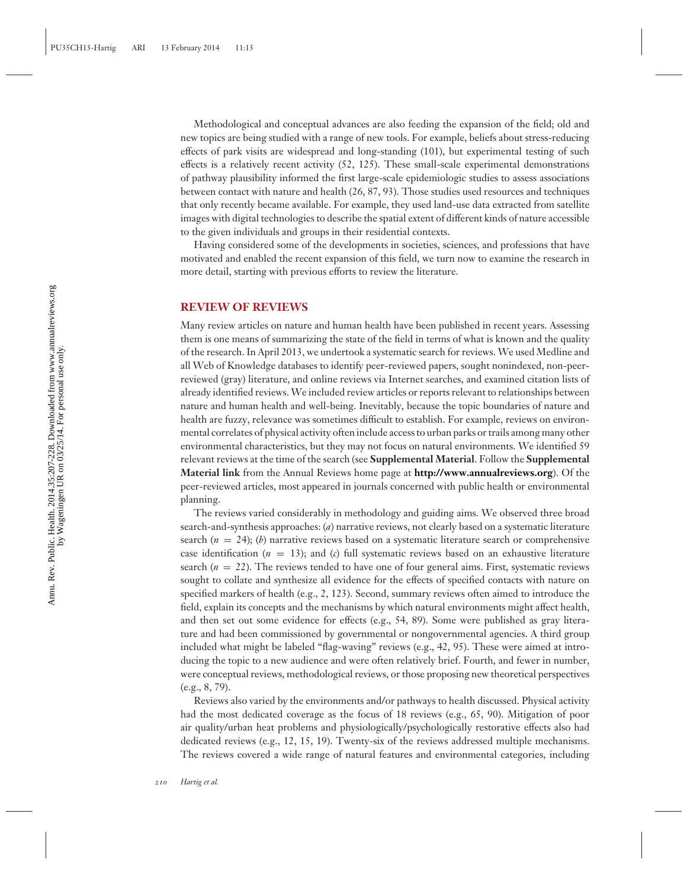Methodological and conceptual advances are also feeding the expansion of the field; old and new topics are being studied with a range of new tools. For example, beliefs about stress-reducing effects of park visits are widespread and long-standing (101), but experimental testing of such effects is a relatively recent activity (52, 125). These small-scale experimental demonstrations of pathway plausibility informed the first large-scale epidemiologic studies to assess associations between contact with nature and health (26, 87, 93). Those studies used resources and techniques that only recently became available. For example, they used land-use data extracted from satellite images with digital technologies to describe the spatial extent of different kinds of nature accessible to the given individuals and groups in their residential contexts.

Having considered some of the developments in societies, sciences, and professions that have motivated and enabled the recent expansion of this field, we turn now to examine the research in more detail, starting with previous efforts to review the literature.

#### **REVIEW OF REVIEWS**

Many review articles on nature and human health have been published in recent years. Assessing them is one means of summarizing the state of the field in terms of what is known and the quality of the research. In April 2013, we undertook a systematic search for reviews. We used Medline and all Web of Knowledge databases to identify peer-reviewed papers, sought nonindexed, non-peerreviewed (gray) literature, and online reviews via Internet searches, and examined citation lists of already identified reviews. We included review articles or reports relevant to relationships between nature and human health and well-being. Inevitably, because the topic boundaries of nature and health are fuzzy, relevance was sometimes difficult to establish. For example, reviews on environmental correlates of physical activity often include access to urban parks or trails among many other environmental characteristics, but they may not focus on natural environments. We identified 59 relevant reviews at the time of the search (see **Supplemental Material**. Follow the **Supplemental Material link** from the Annual Reviews home page at **<http://www.annualreviews.org>**). Of the peer-reviewed articles, most appeared in journals concerned with public health or environmental planning.

The reviews varied considerably in methodology and guiding aims. We observed three broad search-and-synthesis approaches: (*a*) narrative reviews, not clearly based on a systematic literature search (*n* = 24); (*b*) narrative reviews based on a systematic literature search or comprehensive case identification  $(n = 13)$ ; and  $(c)$  full systematic reviews based on an exhaustive literature search  $(n = 22)$ . The reviews tended to have one of four general aims. First, systematic reviews sought to collate and synthesize all evidence for the effects of specified contacts with nature on specified markers of health (e.g., 2, 123). Second, summary reviews often aimed to introduce the field, explain its concepts and the mechanisms by which natural environments might affect health, and then set out some evidence for effects (e.g., 54, 89). Some were published as gray literature and had been commissioned by governmental or nongovernmental agencies. A third group included what might be labeled "flag-waving" reviews (e.g., 42, 95). These were aimed at introducing the topic to a new audience and were often relatively brief. Fourth, and fewer in number, were conceptual reviews, methodological reviews, or those proposing new theoretical perspectives (e.g., 8, 79).

Reviews also varied by the environments and/or pathways to health discussed. Physical activity had the most dedicated coverage as the focus of 18 reviews (e.g., 65, 90). Mitigation of poor air quality/urban heat problems and physiologically/psychologically restorative effects also had dedicated reviews (e.g., 12, 15, 19). Twenty-six of the reviews addressed multiple mechanisms. The reviews covered a wide range of natural features and environmental categories, including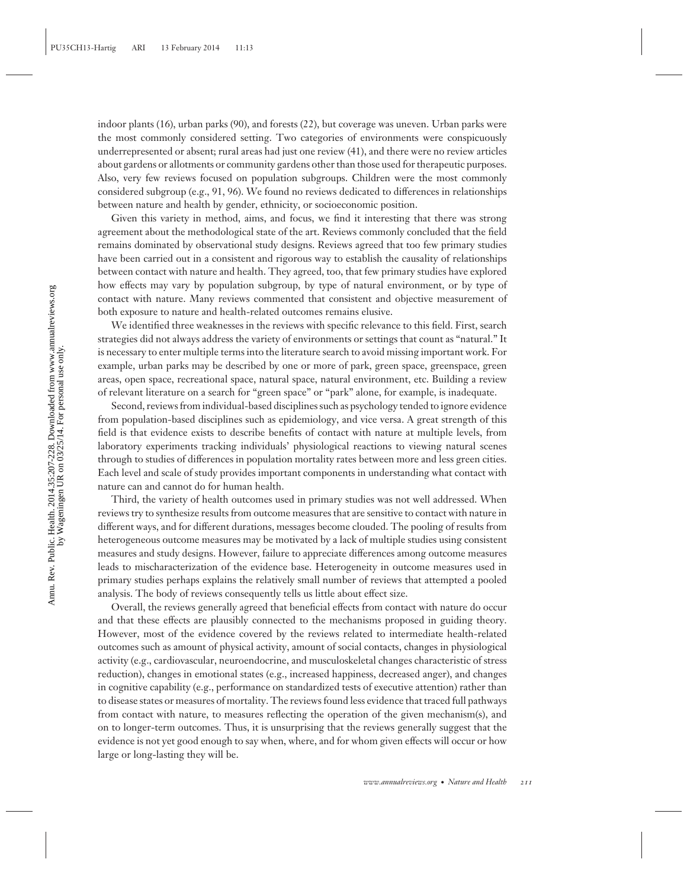indoor plants (16), urban parks (90), and forests (22), but coverage was uneven. Urban parks were the most commonly considered setting. Two categories of environments were conspicuously underrepresented or absent; rural areas had just one review (41), and there were no review articles about gardens or allotments or community gardens other than those used for therapeutic purposes. Also, very few reviews focused on population subgroups. Children were the most commonly considered subgroup (e.g., 91, 96). We found no reviews dedicated to differences in relationships between nature and health by gender, ethnicity, or socioeconomic position.

Given this variety in method, aims, and focus, we find it interesting that there was strong agreement about the methodological state of the art. Reviews commonly concluded that the field remains dominated by observational study designs. Reviews agreed that too few primary studies have been carried out in a consistent and rigorous way to establish the causality of relationships between contact with nature and health. They agreed, too, that few primary studies have explored how effects may vary by population subgroup, by type of natural environment, or by type of contact with nature. Many reviews commented that consistent and objective measurement of both exposure to nature and health-related outcomes remains elusive.

We identified three weaknesses in the reviews with specific relevance to this field. First, search strategies did not always address the variety of environments or settings that count as "natural." It is necessary to enter multiple terms into the literature search to avoid missing important work. For example, urban parks may be described by one or more of park, green space, greenspace, green areas, open space, recreational space, natural space, natural environment, etc. Building a review of relevant literature on a search for "green space" or "park" alone, for example, is inadequate.

Second, reviews from individual-based disciplines such as psychology tended to ignore evidence from population-based disciplines such as epidemiology, and vice versa. A great strength of this field is that evidence exists to describe benefits of contact with nature at multiple levels, from laboratory experiments tracking individuals' physiological reactions to viewing natural scenes through to studies of differences in population mortality rates between more and less green cities. Each level and scale of study provides important components in understanding what contact with nature can and cannot do for human health.

Third, the variety of health outcomes used in primary studies was not well addressed. When reviews try to synthesize results from outcome measures that are sensitive to contact with nature in different ways, and for different durations, messages become clouded. The pooling of results from heterogeneous outcome measures may be motivated by a lack of multiple studies using consistent measures and study designs. However, failure to appreciate differences among outcome measures leads to mischaracterization of the evidence base. Heterogeneity in outcome measures used in primary studies perhaps explains the relatively small number of reviews that attempted a pooled analysis. The body of reviews consequently tells us little about effect size.

Overall, the reviews generally agreed that beneficial effects from contact with nature do occur and that these effects are plausibly connected to the mechanisms proposed in guiding theory. However, most of the evidence covered by the reviews related to intermediate health-related outcomes such as amount of physical activity, amount of social contacts, changes in physiological activity (e.g., cardiovascular, neuroendocrine, and musculoskeletal changes characteristic of stress reduction), changes in emotional states (e.g., increased happiness, decreased anger), and changes in cognitive capability (e.g., performance on standardized tests of executive attention) rather than to disease states or measures of mortality. The reviews found less evidence that traced full pathways from contact with nature, to measures reflecting the operation of the given mechanism(s), and on to longer-term outcomes. Thus, it is unsurprising that the reviews generally suggest that the evidence is not yet good enough to say when, where, and for whom given effects will occur or how large or long-lasting they will be.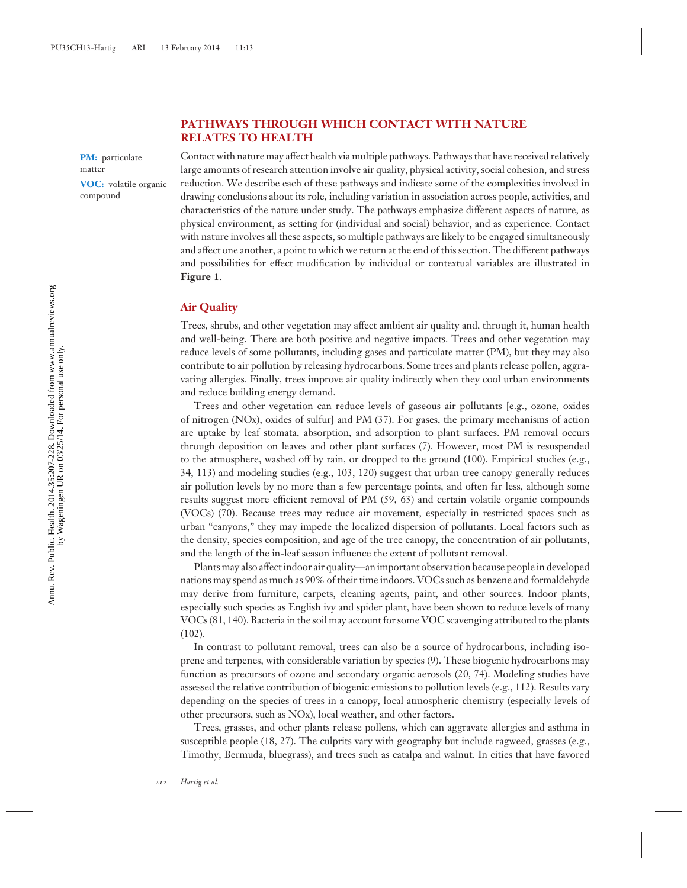**PM:** particulate matter

**VOC:** volatile organic compound

#### **PATHWAYS THROUGH WHICH CONTACT WITH NATURE RELATES TO HEALTH**

Contact with nature may affect health via multiple pathways. Pathways that have received relatively large amounts of research attention involve air quality, physical activity, social cohesion, and stress reduction. We describe each of these pathways and indicate some of the complexities involved in drawing conclusions about its role, including variation in association across people, activities, and characteristics of the nature under study. The pathways emphasize different aspects of nature, as physical environment, as setting for (individual and social) behavior, and as experience. Contact with nature involves all these aspects, so multiple pathways are likely to be engaged simultaneously and affect one another, a point to which we return at the end of this section. The different pathways and possibilities for effect modification by individual or contextual variables are illustrated in **Figure 1**.

#### **Air Quality**

Trees, shrubs, and other vegetation may affect ambient air quality and, through it, human health and well-being. There are both positive and negative impacts. Trees and other vegetation may reduce levels of some pollutants, including gases and particulate matter (PM), but they may also contribute to air pollution by releasing hydrocarbons. Some trees and plants release pollen, aggravating allergies. Finally, trees improve air quality indirectly when they cool urban environments and reduce building energy demand.

Trees and other vegetation can reduce levels of gaseous air pollutants [e.g., ozone, oxides of nitrogen (NOx), oxides of sulfur] and PM (37). For gases, the primary mechanisms of action are uptake by leaf stomata, absorption, and adsorption to plant surfaces. PM removal occurs through deposition on leaves and other plant surfaces (7). However, most PM is resuspended to the atmosphere, washed off by rain, or dropped to the ground (100). Empirical studies (e.g., 34, 113) and modeling studies (e.g., 103, 120) suggest that urban tree canopy generally reduces air pollution levels by no more than a few percentage points, and often far less, although some results suggest more efficient removal of PM (59, 63) and certain volatile organic compounds (VOCs) (70). Because trees may reduce air movement, especially in restricted spaces such as urban "canyons," they may impede the localized dispersion of pollutants. Local factors such as the density, species composition, and age of the tree canopy, the concentration of air pollutants, and the length of the in-leaf season influence the extent of pollutant removal.

Plants may also affect indoor air quality—an important observation because people in developed nations may spend as much as 90% of their time indoors. VOCs such as benzene and formaldehyde may derive from furniture, carpets, cleaning agents, paint, and other sources. Indoor plants, especially such species as English ivy and spider plant, have been shown to reduce levels of many VOCs (81, 140). Bacteria in the soil may account for some VOC scavenging attributed to the plants (102).

In contrast to pollutant removal, trees can also be a source of hydrocarbons, including isoprene and terpenes, with considerable variation by species (9). These biogenic hydrocarbons may function as precursors of ozone and secondary organic aerosols (20, 74). Modeling studies have assessed the relative contribution of biogenic emissions to pollution levels (e.g., 112). Results vary depending on the species of trees in a canopy, local atmospheric chemistry (especially levels of other precursors, such as NOx), local weather, and other factors.

Trees, grasses, and other plants release pollens, which can aggravate allergies and asthma in susceptible people (18, 27). The culprits vary with geography but include ragweed, grasses (e.g., Timothy, Bermuda, bluegrass), and trees such as catalpa and walnut. In cities that have favored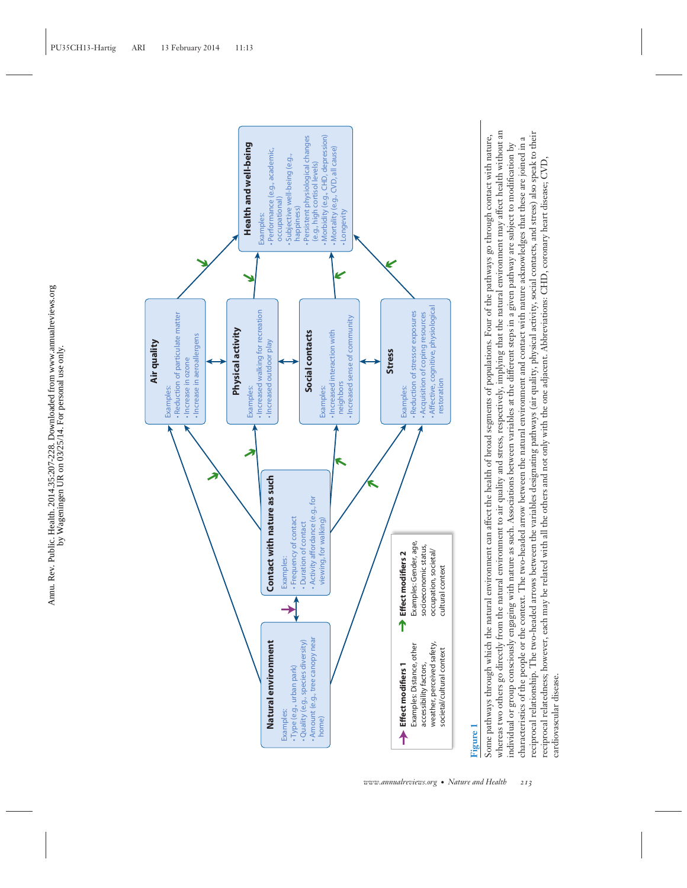



# **Figure 1**

whereas two others go directly from the natural environment to air quality and stress, respectively, implying that the natural environment may affect health without an reciprocal relationship. The two-headed arrows between the variables designating pathways (air quality, physical activity, social contacts, and stress) also speak to their whereas two others go directly from the natural environment to air quality and stress, respectively, implying that the natural environment may affect health without an reciprocal relationship. The two-headed arrows between the variables designating pathways (air quality, physical activity, social contacts, and stress) also speak to their Some pathways through which the natural environment can affect the health of broad segments of populations. Four of the pathways go through contact with nature, characteristies of the people or the context. The two-headed arrow between the natural environment and contact with nature acknowledges that these are joined in a Some pathways through which the natural environment can affect the health of broad segments of populations. Four of the pathways go through contact with nature, characteristics of the people or the context. The two-headed arrow between the natural environment and contact with nature acknowledges that these are joined in a individual or group consciously engaging with nature as such. Associations between variables at the different steps in a given pathway are subject to modification by individual or group consciously engaging with nature as such. Associations between variables at the different steps in a given pathway are subject to modification by reciprocal relatedness; however, each may be related with all the others and not only with the one adjacent. Abbreviations: CHD, coronary heart disease; CVD, reciprocal relatedness; however, each may be related with all the others and not only with the one adjacent. Abbreviations: CHD, coronary heart disease; CVD, cardiovascular disease. cardiovascular disease.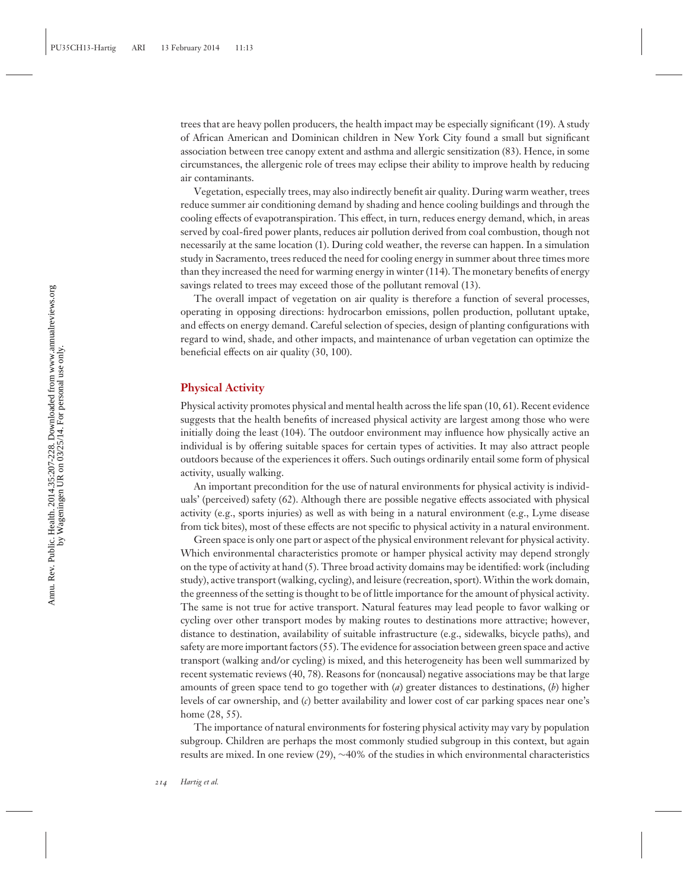trees that are heavy pollen producers, the health impact may be especially significant (19). A study of African American and Dominican children in New York City found a small but significant association between tree canopy extent and asthma and allergic sensitization (83). Hence, in some circumstances, the allergenic role of trees may eclipse their ability to improve health by reducing air contaminants.

Vegetation, especially trees, may also indirectly benefit air quality. During warm weather, trees reduce summer air conditioning demand by shading and hence cooling buildings and through the cooling effects of evapotranspiration. This effect, in turn, reduces energy demand, which, in areas served by coal-fired power plants, reduces air pollution derived from coal combustion, though not necessarily at the same location (1). During cold weather, the reverse can happen. In a simulation study in Sacramento, trees reduced the need for cooling energy in summer about three times more than they increased the need for warming energy in winter (114). The monetary benefits of energy savings related to trees may exceed those of the pollutant removal (13).

The overall impact of vegetation on air quality is therefore a function of several processes, operating in opposing directions: hydrocarbon emissions, pollen production, pollutant uptake, and effects on energy demand. Careful selection of species, design of planting configurations with regard to wind, shade, and other impacts, and maintenance of urban vegetation can optimize the beneficial effects on air quality (30, 100).

#### **Physical Activity**

Physical activity promotes physical and mental health across the life span (10, 61). Recent evidence suggests that the health benefits of increased physical activity are largest among those who were initially doing the least (104). The outdoor environment may influence how physically active an individual is by offering suitable spaces for certain types of activities. It may also attract people outdoors because of the experiences it offers. Such outings ordinarily entail some form of physical activity, usually walking.

An important precondition for the use of natural environments for physical activity is individuals' (perceived) safety (62). Although there are possible negative effects associated with physical activity (e.g., sports injuries) as well as with being in a natural environment (e.g., Lyme disease from tick bites), most of these effects are not specific to physical activity in a natural environment.

Green space is only one part or aspect of the physical environment relevant for physical activity. Which environmental characteristics promote or hamper physical activity may depend strongly on the type of activity at hand (5). Three broad activity domains may be identified: work (including study), active transport (walking, cycling), and leisure (recreation, sport). Within the work domain, the greenness of the setting is thought to be of little importance for the amount of physical activity. The same is not true for active transport. Natural features may lead people to favor walking or cycling over other transport modes by making routes to destinations more attractive; however, distance to destination, availability of suitable infrastructure (e.g., sidewalks, bicycle paths), and safety are more important factors (55). The evidence for association between green space and active transport (walking and/or cycling) is mixed, and this heterogeneity has been well summarized by recent systematic reviews (40, 78). Reasons for (noncausal) negative associations may be that large amounts of green space tend to go together with (*a*) greater distances to destinations, (*b*) higher levels of car ownership, and (*c*) better availability and lower cost of car parking spaces near one's home (28, 55).

The importance of natural environments for fostering physical activity may vary by population subgroup. Children are perhaps the most commonly studied subgroup in this context, but again results are mixed. In one review (29), ∼40% of the studies in which environmental characteristics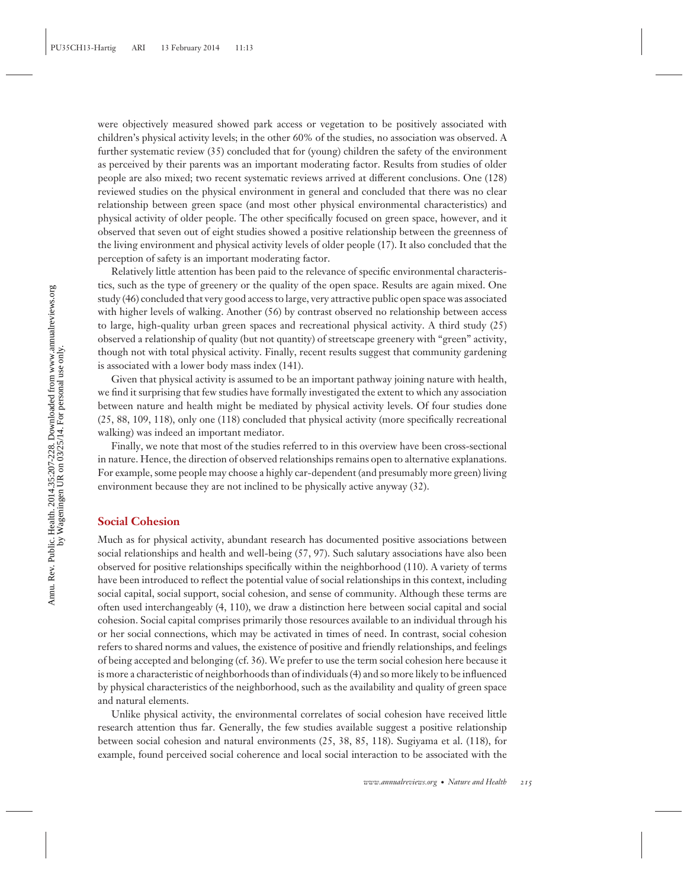were objectively measured showed park access or vegetation to be positively associated with children's physical activity levels; in the other 60% of the studies, no association was observed. A further systematic review (35) concluded that for (young) children the safety of the environment as perceived by their parents was an important moderating factor. Results from studies of older people are also mixed; two recent systematic reviews arrived at different conclusions. One (128) reviewed studies on the physical environment in general and concluded that there was no clear relationship between green space (and most other physical environmental characteristics) and physical activity of older people. The other specifically focused on green space, however, and it observed that seven out of eight studies showed a positive relationship between the greenness of the living environment and physical activity levels of older people (17). It also concluded that the perception of safety is an important moderating factor.

Relatively little attention has been paid to the relevance of specific environmental characteristics, such as the type of greenery or the quality of the open space. Results are again mixed. One study (46) concluded that very good access to large, very attractive public open space was associated with higher levels of walking. Another (56) by contrast observed no relationship between access to large, high-quality urban green spaces and recreational physical activity. A third study (25) observed a relationship of quality (but not quantity) of streetscape greenery with "green" activity, though not with total physical activity. Finally, recent results suggest that community gardening is associated with a lower body mass index (141).

Given that physical activity is assumed to be an important pathway joining nature with health, we find it surprising that few studies have formally investigated the extent to which any association between nature and health might be mediated by physical activity levels. Of four studies done (25, 88, 109, 118), only one (118) concluded that physical activity (more specifically recreational walking) was indeed an important mediator.

Finally, we note that most of the studies referred to in this overview have been cross-sectional in nature. Hence, the direction of observed relationships remains open to alternative explanations. For example, some people may choose a highly car-dependent (and presumably more green) living environment because they are not inclined to be physically active anyway (32).

#### **Social Cohesion**

Much as for physical activity, abundant research has documented positive associations between social relationships and health and well-being (57, 97). Such salutary associations have also been observed for positive relationships specifically within the neighborhood (110). A variety of terms have been introduced to reflect the potential value of social relationships in this context, including social capital, social support, social cohesion, and sense of community. Although these terms are often used interchangeably (4, 110), we draw a distinction here between social capital and social cohesion. Social capital comprises primarily those resources available to an individual through his or her social connections, which may be activated in times of need. In contrast, social cohesion refers to shared norms and values, the existence of positive and friendly relationships, and feelings of being accepted and belonging (cf. 36). We prefer to use the term social cohesion here because it is more a characteristic of neighborhoods than of individuals (4) and so more likely to be influenced by physical characteristics of the neighborhood, such as the availability and quality of green space and natural elements.

Unlike physical activity, the environmental correlates of social cohesion have received little research attention thus far. Generally, the few studies available suggest a positive relationship between social cohesion and natural environments (25, 38, 85, 118). Sugiyama et al. (118), for example, found perceived social coherence and local social interaction to be associated with the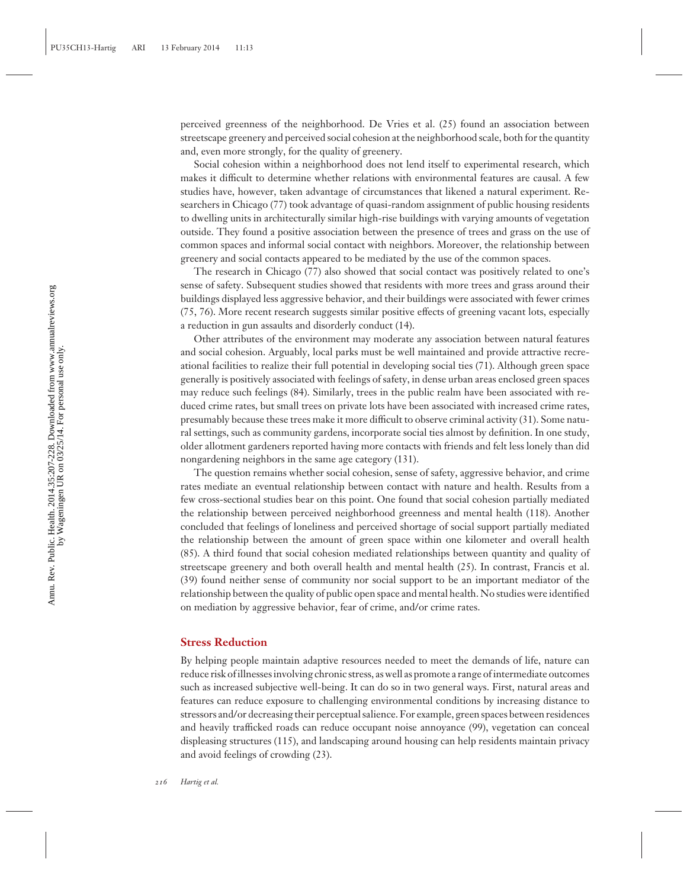perceived greenness of the neighborhood. De Vries et al. (25) found an association between streetscape greenery and perceived social cohesion at the neighborhood scale, both for the quantity and, even more strongly, for the quality of greenery.

Social cohesion within a neighborhood does not lend itself to experimental research, which makes it difficult to determine whether relations with environmental features are causal. A few studies have, however, taken advantage of circumstances that likened a natural experiment. Researchers in Chicago (77) took advantage of quasi-random assignment of public housing residents to dwelling units in architecturally similar high-rise buildings with varying amounts of vegetation outside. They found a positive association between the presence of trees and grass on the use of common spaces and informal social contact with neighbors. Moreover, the relationship between greenery and social contacts appeared to be mediated by the use of the common spaces.

The research in Chicago (77) also showed that social contact was positively related to one's sense of safety. Subsequent studies showed that residents with more trees and grass around their buildings displayed less aggressive behavior, and their buildings were associated with fewer crimes (75, 76). More recent research suggests similar positive effects of greening vacant lots, especially a reduction in gun assaults and disorderly conduct (14).

Other attributes of the environment may moderate any association between natural features and social cohesion. Arguably, local parks must be well maintained and provide attractive recreational facilities to realize their full potential in developing social ties (71). Although green space generally is positively associated with feelings of safety, in dense urban areas enclosed green spaces may reduce such feelings (84). Similarly, trees in the public realm have been associated with reduced crime rates, but small trees on private lots have been associated with increased crime rates, presumably because these trees make it more difficult to observe criminal activity (31). Some natural settings, such as community gardens, incorporate social ties almost by definition. In one study, older allotment gardeners reported having more contacts with friends and felt less lonely than did nongardening neighbors in the same age category (131).

The question remains whether social cohesion, sense of safety, aggressive behavior, and crime rates mediate an eventual relationship between contact with nature and health. Results from a few cross-sectional studies bear on this point. One found that social cohesion partially mediated the relationship between perceived neighborhood greenness and mental health (118). Another concluded that feelings of loneliness and perceived shortage of social support partially mediated the relationship between the amount of green space within one kilometer and overall health (85). A third found that social cohesion mediated relationships between quantity and quality of streetscape greenery and both overall health and mental health (25). In contrast, Francis et al. (39) found neither sense of community nor social support to be an important mediator of the relationship between the quality of public open space and mental health. No studies were identified on mediation by aggressive behavior, fear of crime, and/or crime rates.

#### **Stress Reduction**

By helping people maintain adaptive resources needed to meet the demands of life, nature can reduce risk of illnesses involving chronic stress, as well as promote a range of intermediate outcomes such as increased subjective well-being. It can do so in two general ways. First, natural areas and features can reduce exposure to challenging environmental conditions by increasing distance to stressors and/or decreasing their perceptual salience. For example, green spaces between residences and heavily trafficked roads can reduce occupant noise annoyance (99), vegetation can conceal displeasing structures (115), and landscaping around housing can help residents maintain privacy and avoid feelings of crowding (23).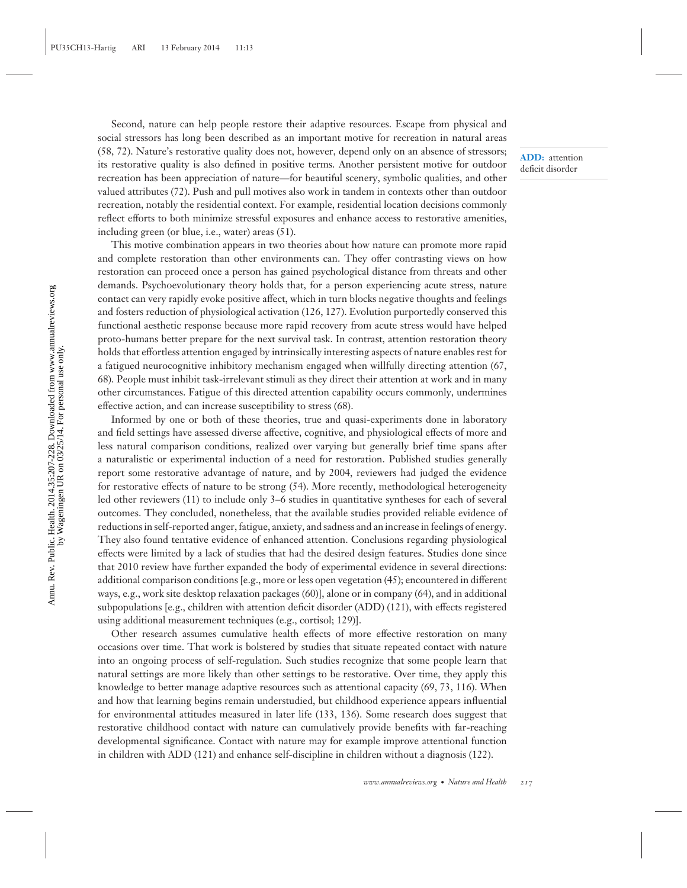Second, nature can help people restore their adaptive resources. Escape from physical and social stressors has long been described as an important motive for recreation in natural areas (58, 72). Nature's restorative quality does not, however, depend only on an absence of stressors; its restorative quality is also defined in positive terms. Another persistent motive for outdoor recreation has been appreciation of nature—for beautiful scenery, symbolic qualities, and other valued attributes (72). Push and pull motives also work in tandem in contexts other than outdoor recreation, notably the residential context. For example, residential location decisions commonly reflect efforts to both minimize stressful exposures and enhance access to restorative amenities, including green (or blue, i.e., water) areas (51).

This motive combination appears in two theories about how nature can promote more rapid and complete restoration than other environments can. They offer contrasting views on how restoration can proceed once a person has gained psychological distance from threats and other demands. Psychoevolutionary theory holds that, for a person experiencing acute stress, nature contact can very rapidly evoke positive affect, which in turn blocks negative thoughts and feelings and fosters reduction of physiological activation (126, 127). Evolution purportedly conserved this functional aesthetic response because more rapid recovery from acute stress would have helped proto-humans better prepare for the next survival task. In contrast, attention restoration theory holds that effortless attention engaged by intrinsically interesting aspects of nature enables rest for a fatigued neurocognitive inhibitory mechanism engaged when willfully directing attention (67, 68). People must inhibit task-irrelevant stimuli as they direct their attention at work and in many other circumstances. Fatigue of this directed attention capability occurs commonly, undermines effective action, and can increase susceptibility to stress (68).

Informed by one or both of these theories, true and quasi-experiments done in laboratory and field settings have assessed diverse affective, cognitive, and physiological effects of more and less natural comparison conditions, realized over varying but generally brief time spans after a naturalistic or experimental induction of a need for restoration. Published studies generally report some restorative advantage of nature, and by 2004, reviewers had judged the evidence for restorative effects of nature to be strong (54). More recently, methodological heterogeneity led other reviewers (11) to include only 3–6 studies in quantitative syntheses for each of several outcomes. They concluded, nonetheless, that the available studies provided reliable evidence of reductions in self-reported anger, fatigue, anxiety, and sadness and an increase in feelings of energy. They also found tentative evidence of enhanced attention. Conclusions regarding physiological effects were limited by a lack of studies that had the desired design features. Studies done since that 2010 review have further expanded the body of experimental evidence in several directions: additional comparison conditions [e.g., more or less open vegetation (45); encountered in different ways, e.g., work site desktop relaxation packages (60)], alone or in company (64), and in additional subpopulations [e.g., children with attention deficit disorder (ADD) (121), with effects registered using additional measurement techniques (e.g., cortisol; 129)].

Other research assumes cumulative health effects of more effective restoration on many occasions over time. That work is bolstered by studies that situate repeated contact with nature into an ongoing process of self-regulation. Such studies recognize that some people learn that natural settings are more likely than other settings to be restorative. Over time, they apply this knowledge to better manage adaptive resources such as attentional capacity (69, 73, 116). When and how that learning begins remain understudied, but childhood experience appears influential for environmental attitudes measured in later life (133, 136). Some research does suggest that restorative childhood contact with nature can cumulatively provide benefits with far-reaching developmental significance. Contact with nature may for example improve attentional function in children with ADD (121) and enhance self-discipline in children without a diagnosis (122).

**ADD:** attention deficit disorder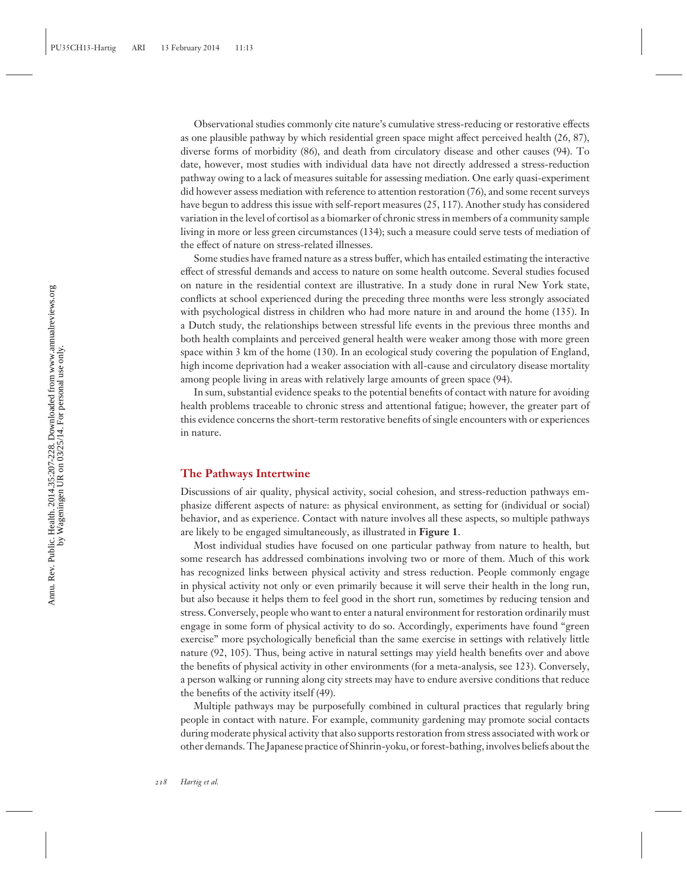Observational studies commonly cite nature's cumulative stress-reducing or restorative effects as one plausible pathway by which residential green space might affect perceived health (26, 87), diverse forms of morbidity (86), and death from circulatory disease and other causes (94). To date, however, most studies with individual data have not directly addressed a stress-reduction pathway owing to a lack of measures suitable for assessing mediation. One early quasi-experiment did however assess mediation with reference to attention restoration (76), and some recent surveys have begun to address this issue with self-report measures (25, 117). Another study has considered variation in the level of cortisol as a biomarker of chronic stress in members of a community sample living in more or less green circumstances (134); such a measure could serve tests of mediation of the effect of nature on stress-related illnesses.

Some studies have framed nature as a stress buffer, which has entailed estimating the interactive effect of stressful demands and access to nature on some health outcome. Several studies focused on nature in the residential context are illustrative. In a study done in rural New York state, conflicts at school experienced during the preceding three months were less strongly associated with psychological distress in children who had more nature in and around the home (135). In a Dutch study, the relationships between stressful life events in the previous three months and both health complaints and perceived general health were weaker among those with more green space within 3 km of the home (130). In an ecological study covering the population of England, high income deprivation had a weaker association with all-cause and circulatory disease mortality among people living in areas with relatively large amounts of green space (94).

In sum, substantial evidence speaks to the potential benefits of contact with nature for avoiding health problems traceable to chronic stress and attentional fatigue; however, the greater part of this evidence concerns the short-term restorative benefits of single encounters with or experiences in nature.

#### **The Pathways Intertwine**

Discussions of air quality, physical activity, social cohesion, and stress-reduction pathways emphasize different aspects of nature: as physical environment, as setting for (individual or social) behavior, and as experience. Contact with nature involves all these aspects, so multiple pathways are likely to be engaged simultaneously, as illustrated in **Figure 1**.

Most individual studies have focused on one particular pathway from nature to health, but some research has addressed combinations involving two or more of them. Much of this work has recognized links between physical activity and stress reduction. People commonly engage in physical activity not only or even primarily because it will serve their health in the long run, but also because it helps them to feel good in the short run, sometimes by reducing tension and stress. Conversely, people who want to enter a natural environment for restoration ordinarily must engage in some form of physical activity to do so. Accordingly, experiments have found "green exercise" more psychologically beneficial than the same exercise in settings with relatively little nature (92, 105). Thus, being active in natural settings may yield health benefits over and above the benefits of physical activity in other environments (for a meta-analysis, see 123). Conversely, a person walking or running along city streets may have to endure aversive conditions that reduce the benefits of the activity itself (49).

Multiple pathways may be purposefully combined in cultural practices that regularly bring people in contact with nature. For example, community gardening may promote social contacts during moderate physical activity that also supports restoration from stress associated with work or other demands. The Japanese practice of Shinrin-yoku, or forest-bathing, involves beliefs about the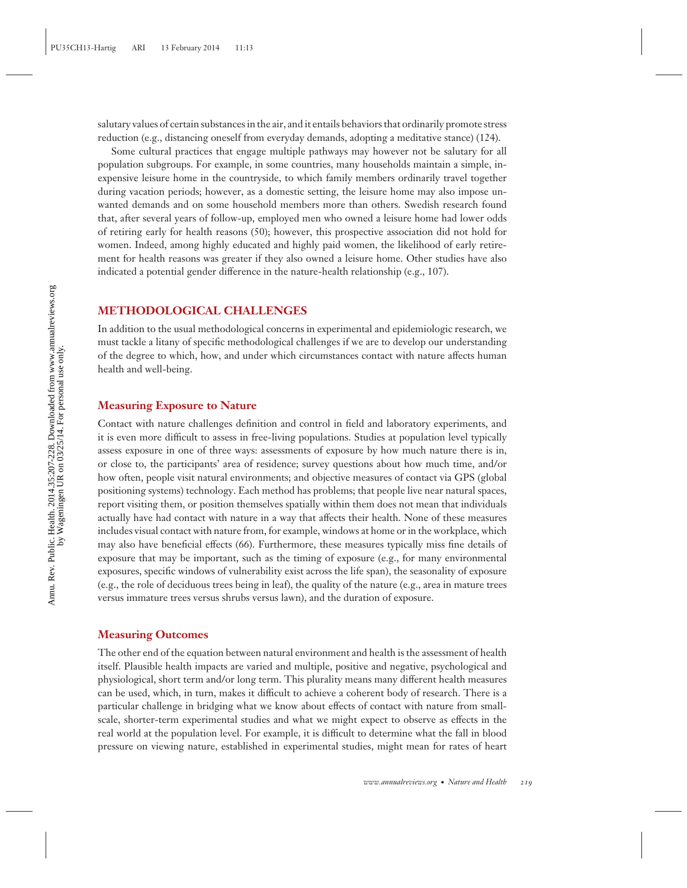salutary values of certain substances in the air, and it entails behaviors that ordinarily promote stress reduction (e.g., distancing oneself from everyday demands, adopting a meditative stance) (124).

Some cultural practices that engage multiple pathways may however not be salutary for all population subgroups. For example, in some countries, many households maintain a simple, inexpensive leisure home in the countryside, to which family members ordinarily travel together during vacation periods; however, as a domestic setting, the leisure home may also impose unwanted demands and on some household members more than others. Swedish research found that, after several years of follow-up, employed men who owned a leisure home had lower odds of retiring early for health reasons (50); however, this prospective association did not hold for women. Indeed, among highly educated and highly paid women, the likelihood of early retirement for health reasons was greater if they also owned a leisure home. Other studies have also indicated a potential gender difference in the nature-health relationship (e.g., 107).

#### **METHODOLOGICAL CHALLENGES**

In addition to the usual methodological concerns in experimental and epidemiologic research, we must tackle a litany of specific methodological challenges if we are to develop our understanding of the degree to which, how, and under which circumstances contact with nature affects human health and well-being.

#### **Measuring Exposure to Nature**

Contact with nature challenges definition and control in field and laboratory experiments, and it is even more difficult to assess in free-living populations. Studies at population level typically assess exposure in one of three ways: assessments of exposure by how much nature there is in, or close to, the participants' area of residence; survey questions about how much time, and/or how often, people visit natural environments; and objective measures of contact via GPS (global positioning systems) technology. Each method has problems; that people live near natural spaces, report visiting them, or position themselves spatially within them does not mean that individuals actually have had contact with nature in a way that affects their health. None of these measures includes visual contact with nature from, for example, windows at home or in the workplace, which may also have beneficial effects (66). Furthermore, these measures typically miss fine details of exposure that may be important, such as the timing of exposure (e.g., for many environmental exposures, specific windows of vulnerability exist across the life span), the seasonality of exposure (e.g., the role of deciduous trees being in leaf), the quality of the nature (e.g., area in mature trees versus immature trees versus shrubs versus lawn), and the duration of exposure.

#### **Measuring Outcomes**

The other end of the equation between natural environment and health is the assessment of health itself. Plausible health impacts are varied and multiple, positive and negative, psychological and physiological, short term and/or long term. This plurality means many different health measures can be used, which, in turn, makes it difficult to achieve a coherent body of research. There is a particular challenge in bridging what we know about effects of contact with nature from smallscale, shorter-term experimental studies and what we might expect to observe as effects in the real world at the population level. For example, it is difficult to determine what the fall in blood pressure on viewing nature, established in experimental studies, might mean for rates of heart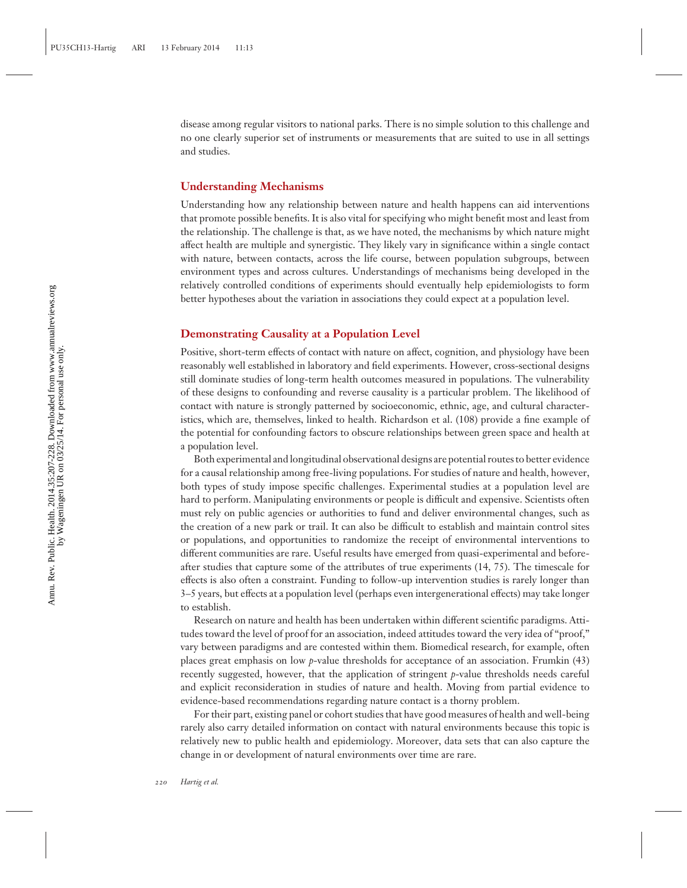disease among regular visitors to national parks. There is no simple solution to this challenge and no one clearly superior set of instruments or measurements that are suited to use in all settings and studies.

#### **Understanding Mechanisms**

Understanding how any relationship between nature and health happens can aid interventions that promote possible benefits. It is also vital for specifying who might benefit most and least from the relationship. The challenge is that, as we have noted, the mechanisms by which nature might affect health are multiple and synergistic. They likely vary in significance within a single contact with nature, between contacts, across the life course, between population subgroups, between environment types and across cultures. Understandings of mechanisms being developed in the relatively controlled conditions of experiments should eventually help epidemiologists to form better hypotheses about the variation in associations they could expect at a population level.

#### **Demonstrating Causality at a Population Level**

Positive, short-term effects of contact with nature on affect, cognition, and physiology have been reasonably well established in laboratory and field experiments. However, cross-sectional designs still dominate studies of long-term health outcomes measured in populations. The vulnerability of these designs to confounding and reverse causality is a particular problem. The likelihood of contact with nature is strongly patterned by socioeconomic, ethnic, age, and cultural characteristics, which are, themselves, linked to health. Richardson et al. (108) provide a fine example of the potential for confounding factors to obscure relationships between green space and health at a population level.

Both experimental and longitudinal observational designs are potential routes to better evidence for a causal relationship among free-living populations. For studies of nature and health, however, both types of study impose specific challenges. Experimental studies at a population level are hard to perform. Manipulating environments or people is difficult and expensive. Scientists often must rely on public agencies or authorities to fund and deliver environmental changes, such as the creation of a new park or trail. It can also be difficult to establish and maintain control sites or populations, and opportunities to randomize the receipt of environmental interventions to different communities are rare. Useful results have emerged from quasi-experimental and beforeafter studies that capture some of the attributes of true experiments (14, 75). The timescale for effects is also often a constraint. Funding to follow-up intervention studies is rarely longer than 3–5 years, but effects at a population level (perhaps even intergenerational effects) may take longer to establish.

Research on nature and health has been undertaken within different scientific paradigms. Attitudes toward the level of proof for an association, indeed attitudes toward the very idea of "proof," vary between paradigms and are contested within them. Biomedical research, for example, often places great emphasis on low *p*-value thresholds for acceptance of an association. Frumkin (43) recently suggested, however, that the application of stringent *p*-value thresholds needs careful and explicit reconsideration in studies of nature and health. Moving from partial evidence to evidence-based recommendations regarding nature contact is a thorny problem.

For their part, existing panel or cohort studies that have good measures of health and well-being rarely also carry detailed information on contact with natural environments because this topic is relatively new to public health and epidemiology. Moreover, data sets that can also capture the change in or development of natural environments over time are rare.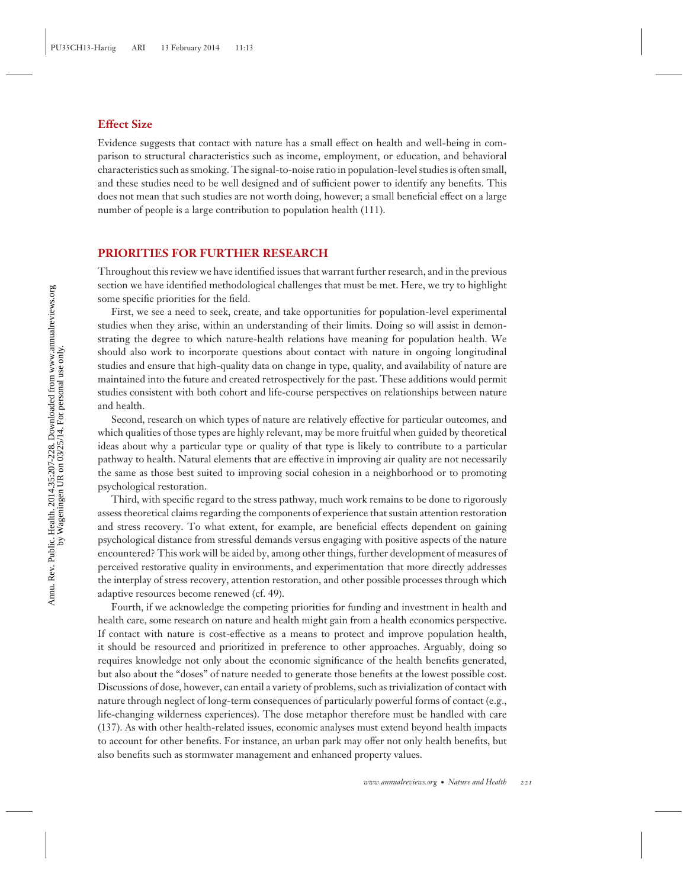#### **Effect Size**

Evidence suggests that contact with nature has a small effect on health and well-being in comparison to structural characteristics such as income, employment, or education, and behavioral characteristics such as smoking. The signal-to-noise ratio in population-level studies is often small, and these studies need to be well designed and of sufficient power to identify any benefits. This does not mean that such studies are not worth doing, however; a small beneficial effect on a large number of people is a large contribution to population health (111).

#### **PRIORITIES FOR FURTHER RESEARCH**

Throughout this review we have identified issues that warrant further research, and in the previous section we have identified methodological challenges that must be met. Here, we try to highlight some specific priorities for the field.

First, we see a need to seek, create, and take opportunities for population-level experimental studies when they arise, within an understanding of their limits. Doing so will assist in demonstrating the degree to which nature-health relations have meaning for population health. We should also work to incorporate questions about contact with nature in ongoing longitudinal studies and ensure that high-quality data on change in type, quality, and availability of nature are maintained into the future and created retrospectively for the past. These additions would permit studies consistent with both cohort and life-course perspectives on relationships between nature and health.

Second, research on which types of nature are relatively effective for particular outcomes, and which qualities of those types are highly relevant, may be more fruitful when guided by theoretical ideas about why a particular type or quality of that type is likely to contribute to a particular pathway to health. Natural elements that are effective in improving air quality are not necessarily the same as those best suited to improving social cohesion in a neighborhood or to promoting psychological restoration.

Third, with specific regard to the stress pathway, much work remains to be done to rigorously assess theoretical claims regarding the components of experience that sustain attention restoration and stress recovery. To what extent, for example, are beneficial effects dependent on gaining psychological distance from stressful demands versus engaging with positive aspects of the nature encountered? This work will be aided by, among other things, further development of measures of perceived restorative quality in environments, and experimentation that more directly addresses the interplay of stress recovery, attention restoration, and other possible processes through which adaptive resources become renewed (cf. 49).

Fourth, if we acknowledge the competing priorities for funding and investment in health and health care, some research on nature and health might gain from a health economics perspective. If contact with nature is cost-effective as a means to protect and improve population health, it should be resourced and prioritized in preference to other approaches. Arguably, doing so requires knowledge not only about the economic significance of the health benefits generated, but also about the "doses" of nature needed to generate those benefits at the lowest possible cost. Discussions of dose, however, can entail a variety of problems, such as trivialization of contact with nature through neglect of long-term consequences of particularly powerful forms of contact (e.g., life-changing wilderness experiences). The dose metaphor therefore must be handled with care (137). As with other health-related issues, economic analyses must extend beyond health impacts to account for other benefits. For instance, an urban park may offer not only health benefits, but also benefits such as stormwater management and enhanced property values.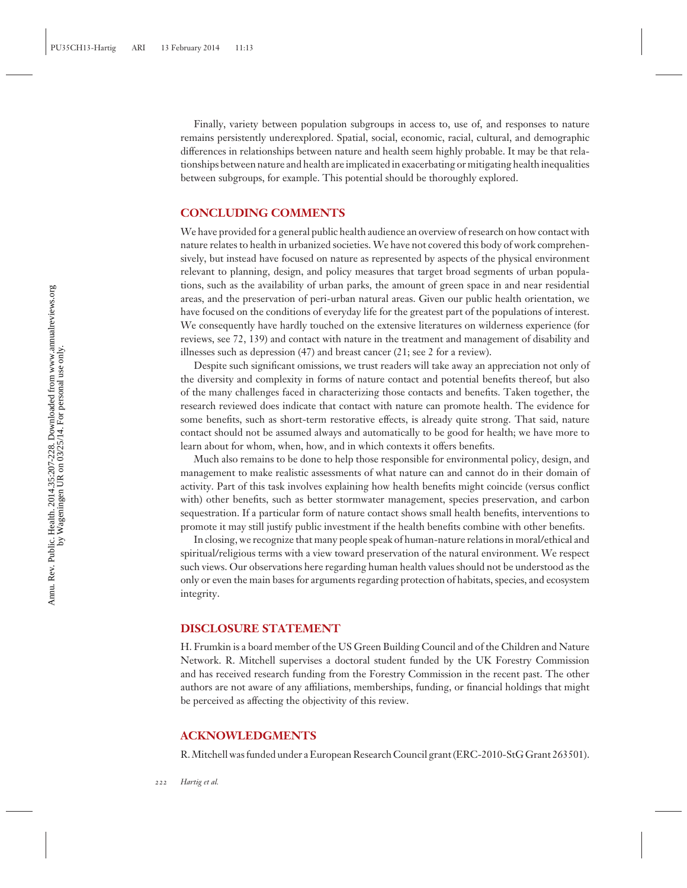Finally, variety between population subgroups in access to, use of, and responses to nature remains persistently underexplored. Spatial, social, economic, racial, cultural, and demographic differences in relationships between nature and health seem highly probable. It may be that relationships between nature and health are implicated in exacerbating or mitigating health inequalities between subgroups, for example. This potential should be thoroughly explored.

#### **CONCLUDING COMMENTS**

We have provided for a general public health audience an overview of research on how contact with nature relates to health in urbanized societies. We have not covered this body of work comprehensively, but instead have focused on nature as represented by aspects of the physical environment relevant to planning, design, and policy measures that target broad segments of urban populations, such as the availability of urban parks, the amount of green space in and near residential areas, and the preservation of peri-urban natural areas. Given our public health orientation, we have focused on the conditions of everyday life for the greatest part of the populations of interest. We consequently have hardly touched on the extensive literatures on wilderness experience (for reviews, see 72, 139) and contact with nature in the treatment and management of disability and illnesses such as depression (47) and breast cancer (21; see 2 for a review).

Despite such significant omissions, we trust readers will take away an appreciation not only of the diversity and complexity in forms of nature contact and potential benefits thereof, but also of the many challenges faced in characterizing those contacts and benefits. Taken together, the research reviewed does indicate that contact with nature can promote health. The evidence for some benefits, such as short-term restorative effects, is already quite strong. That said, nature contact should not be assumed always and automatically to be good for health; we have more to learn about for whom, when, how, and in which contexts it offers benefits.

Much also remains to be done to help those responsible for environmental policy, design, and management to make realistic assessments of what nature can and cannot do in their domain of activity. Part of this task involves explaining how health benefits might coincide (versus conflict with) other benefits, such as better stormwater management, species preservation, and carbon sequestration. If a particular form of nature contact shows small health benefits, interventions to promote it may still justify public investment if the health benefits combine with other benefits.

In closing, we recognize that many people speak of human-nature relations in moral/ethical and spiritual/religious terms with a view toward preservation of the natural environment. We respect such views. Our observations here regarding human health values should not be understood as the only or even the main bases for arguments regarding protection of habitats, species, and ecosystem integrity.

#### **DISCLOSURE STATEMENT**

H. Frumkin is a board member of the US Green Building Council and of the Children and Nature Network. R. Mitchell supervises a doctoral student funded by the UK Forestry Commission and has received research funding from the Forestry Commission in the recent past. The other authors are not aware of any affiliations, memberships, funding, or financial holdings that might be perceived as affecting the objectivity of this review.

#### **ACKNOWLEDGMENTS**

R. Mitchell was funded under a European Research Council grant (ERC-2010-StG Grant 263501).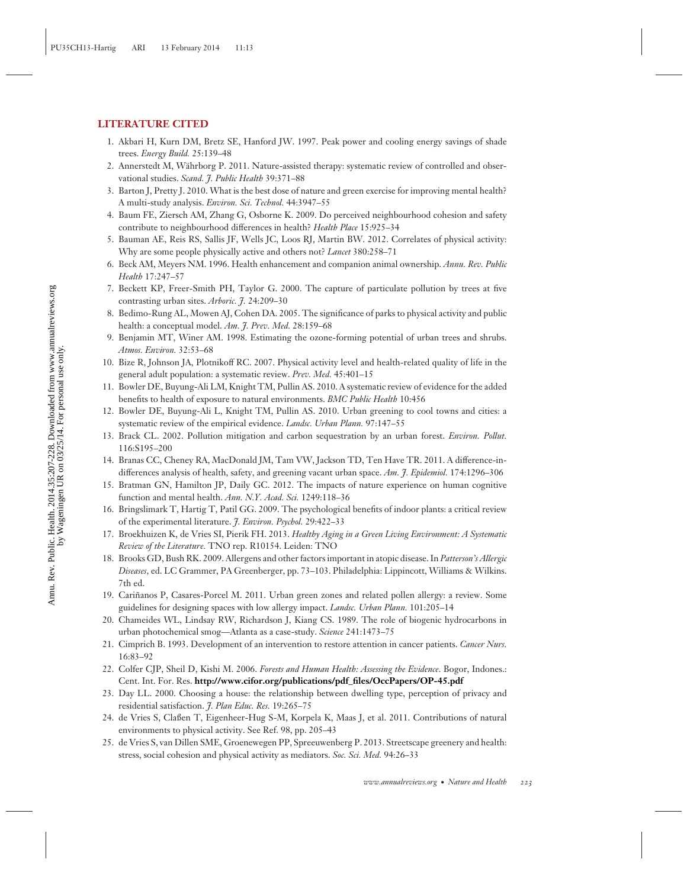#### **LITERATURE CITED**

- 1. Akbari H, Kurn DM, Bretz SE, Hanford JW. 1997. Peak power and cooling energy savings of shade trees. *Energy Build.* 25:139–48
- 2. Annerstedt M, Währborg P. 2011. Nature-assisted therapy: systematic review of controlled and observational studies. *Scand. J. Public Health* 39:371–88
- 3. Barton J, Pretty J. 2010. What is the best dose of nature and green exercise for improving mental health? A multi-study analysis. *Environ. Sci. Technol.* 44:3947–55
- 4. Baum FE, Ziersch AM, Zhang G, Osborne K. 2009. Do perceived neighbourhood cohesion and safety contribute to neighbourhood differences in health? *Health Place* 15:925–34
- 5. Bauman AE, Reis RS, Sallis JF, Wells JC, Loos RJ, Martin BW. 2012. Correlates of physical activity: Why are some people physically active and others not? *Lancet* 380:258–71
- 6. Beck AM, Meyers NM. 1996. Health enhancement and companion animal ownership. *Annu. Rev. Public Health* 17:247–57
- 7. Beckett KP, Freer-Smith PH, Taylor G. 2000. The capture of particulate pollution by trees at five contrasting urban sites. *Arboric. J.* 24:209–30
- 8. Bedimo-Rung AL, Mowen AJ, Cohen DA. 2005. The significance of parks to physical activity and public health: a conceptual model. *Am. J. Prev. Med.* 28:159–68
- 9. Benjamin MT, Winer AM. 1998. Estimating the ozone-forming potential of urban trees and shrubs. *Atmos. Environ.* 32:53–68
- 10. Bize R, Johnson JA, Plotnikoff RC. 2007. Physical activity level and health-related quality of life in the general adult population: a systematic review. *Prev. Med.* 45:401–15
- 11. Bowler DE, Buyung-Ali LM, Knight TM, Pullin AS. 2010. A systematic review of evidence for the added benefits to health of exposure to natural environments. *BMC Public Health* 10:456
- 12. Bowler DE, Buyung-Ali L, Knight TM, Pullin AS. 2010. Urban greening to cool towns and cities: a systematic review of the empirical evidence. *Landsc. Urban Plann.* 97:147–55
- 13. Brack CL. 2002. Pollution mitigation and carbon sequestration by an urban forest. *Environ. Pollut.* 116:S195–200
- 14. Branas CC, Cheney RA, MacDonald JM, Tam VW, Jackson TD, Ten Have TR. 2011. A difference-indifferences analysis of health, safety, and greening vacant urban space. *Am. J. Epidemiol.* 174:1296–306
- 15. Bratman GN, Hamilton JP, Daily GC. 2012. The impacts of nature experience on human cognitive function and mental health. *Ann. N.Y. Acad. Sci.* 1249:118–36
- 16. Bringslimark T, Hartig T, Patil GG. 2009. The psychological benefits of indoor plants: a critical review of the experimental literature. *J. Environ. Psychol.* 29:422–33
- 17. Broekhuizen K, de Vries SI, Pierik FH. 2013. *Healthy Aging in a Green Living Environment: A Systematic Review of the Literature.* TNO rep. R10154. Leiden: TNO
- 18. Brooks GD, Bush RK. 2009. Allergens and other factors important in atopic disease. In *Patterson's Allergic Diseases*, ed. LC Grammer, PA Greenberger, pp. 73–103. Philadelphia: Lippincott, Williams & Wilkins. 7th ed.
- 19. Cariñanos P, Casares-Porcel M. 2011. Urban green zones and related pollen allergy: a review. Some guidelines for designing spaces with low allergy impact. *Landsc. Urban Plann.* 101:205–14
- 20. Chameides WL, Lindsay RW, Richardson J, Kiang CS. 1989. The role of biogenic hydrocarbons in urban photochemical smog—Atlanta as a case-study. *Science* 241:1473–75
- 21. Cimprich B. 1993. Development of an intervention to restore attention in cancer patients. *Cancer Nurs.* 16:83–92
- 22. Colfer CJP, Sheil D, Kishi M. 2006. *Forests and Human Health: Assessing the Evidence*. Bogor, Indones.: Cent. Int. For. Res. **[http://www.cifor.org/publications/pdf\\_files/OccPapers/OP-45.pdf](http://www.cifor.org/publications/pdf_files/OccPapers/OP-45.pdf)**
- 23. Day LL. 2000. Choosing a house: the relationship between dwelling type, perception of privacy and residential satisfaction. *J. Plan Educ. Res.* 19:265–75
- 24. de Vries S, Claßen T, Eigenheer-Hug S-M, Korpela K, Maas J, et al. 2011. Contributions of natural environments to physical activity. See Ref. 98, pp. 205–43
- 25. de Vries S, van Dillen SME, Groenewegen PP, Spreeuwenberg P. 2013. Streetscape greenery and health: stress, social cohesion and physical activity as mediators. *Soc. Sci. Med.* 94:26–33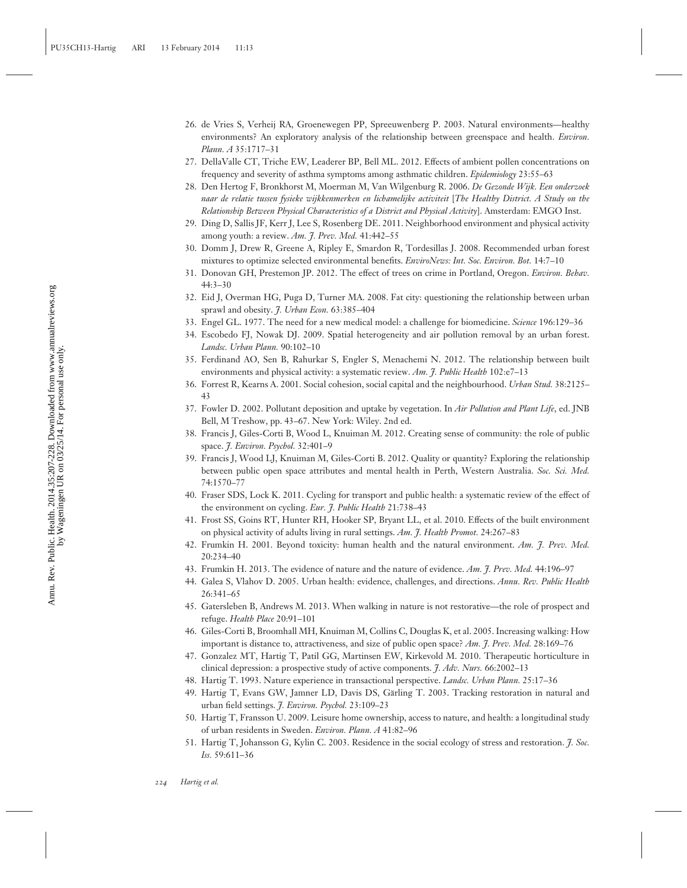- 26. de Vries S, Verheij RA, Groenewegen PP, Spreeuwenberg P. 2003. Natural environments—healthy environments? An exploratory analysis of the relationship between greenspace and health. *Environ. Plann. A* 35:1717–31
- 27. DellaValle CT, Triche EW, Leaderer BP, Bell ML. 2012. Effects of ambient pollen concentrations on frequency and severity of asthma symptoms among asthmatic children. *Epidemiology* 23:55–63
- 28. Den Hertog F, Bronkhorst M, Moerman M, Van Wilgenburg R. 2006. *De Gezonde Wijk. Een onderzoek naar de relatie tussen fysieke wijkkenmerken en lichamelijke activiteit* [*The Healthy District. A Study on the Relationship Between Physical Characteristics of a District and Physical Activity*]. Amsterdam: EMGO Inst.
- 29. Ding D, Sallis JF, Kerr J, Lee S, Rosenberg DE. 2011. Neighborhood environment and physical activity among youth: a review. *Am. J. Prev. Med.* 41:442–55
- 30. Domm J, Drew R, Greene A, Ripley E, Smardon R, Tordesillas J. 2008. Recommended urban forest mixtures to optimize selected environmental benefits. *EnviroNews: Int. Soc. Environ. Bot.* 14:7–10
- 31. Donovan GH, Prestemon JP. 2012. The effect of trees on crime in Portland, Oregon. *Environ. Behav.* 44:3–30
- 32. Eid J, Overman HG, Puga D, Turner MA. 2008. Fat city: questioning the relationship between urban sprawl and obesity. *J. Urban Econ.* 63:385–404
- 33. Engel GL. 1977. The need for a new medical model: a challenge for biomedicine. *Science* 196:129–36
- 34. Escobedo FJ, Nowak DJ. 2009. Spatial heterogeneity and air pollution removal by an urban forest. *Landsc. Urban Plann.* 90:102–10
- 35. Ferdinand AO, Sen B, Rahurkar S, Engler S, Menachemi N. 2012. The relationship between built environments and physical activity: a systematic review. *Am. J. Public Health* 102:e7–13
- 36. Forrest R, Kearns A. 2001. Social cohesion, social capital and the neighbourhood. *Urban Stud.* 38:2125– 43
- 37. Fowler D. 2002. Pollutant deposition and uptake by vegetation. In *Air Pollution and Plant Life*, ed. JNB Bell, M Treshow, pp. 43–67. New York: Wiley. 2nd ed.
- 38. Francis J, Giles-Corti B, Wood L, Knuiman M. 2012. Creating sense of community: the role of public space. *J. Environ. Psychol.* 32:401–9
- 39. Francis J, Wood LJ, Knuiman M, Giles-Corti B. 2012. Quality or quantity? Exploring the relationship between public open space attributes and mental health in Perth, Western Australia. *Soc. Sci. Med.* 74:1570–77
- 40. Fraser SDS, Lock K. 2011. Cycling for transport and public health: a systematic review of the effect of the environment on cycling. *Eur. J. Public Health* 21:738–43
- 41. Frost SS, Goins RT, Hunter RH, Hooker SP, Bryant LL, et al. 2010. Effects of the built environment on physical activity of adults living in rural settings. *Am. J. Health Promot.* 24:267–83
- 42. Frumkin H. 2001. Beyond toxicity: human health and the natural environment. *Am. J. Prev. Med.* 20:234–40
- 43. Frumkin H. 2013. The evidence of nature and the nature of evidence. *Am. J. Prev. Med.* 44:196–97
- 44. Galea S, Vlahov D. 2005. Urban health: evidence, challenges, and directions. *Annu. Rev. Public Health* 26:341–65
- 45. Gatersleben B, Andrews M. 2013. When walking in nature is not restorative—the role of prospect and refuge. *Health Place* 20:91–101
- 46. Giles-Corti B, Broomhall MH, Knuiman M, Collins C, Douglas K, et al. 2005. Increasing walking: How important is distance to, attractiveness, and size of public open space? *Am. J. Prev. Med.* 28:169–76
- 47. Gonzalez MT, Hartig T, Patil GG, Martinsen EW, Kirkevold M. 2010. Therapeutic horticulture in clinical depression: a prospective study of active components. *J. Adv. Nurs.* 66:2002–13
- 48. Hartig T. 1993. Nature experience in transactional perspective. *Landsc. Urban Plann.* 25:17–36
- 49. Hartig T, Evans GW, Jamner LD, Davis DS, Gärling T. 2003. Tracking restoration in natural and urban field settings. *J. Environ. Psychol.* 23:109–23
- 50. Hartig T, Fransson U. 2009. Leisure home ownership, access to nature, and health: a longitudinal study of urban residents in Sweden. *Environ. Plann. A* 41:82–96
- 51. Hartig T, Johansson G, Kylin C. 2003. Residence in the social ecology of stress and restoration. *J. Soc. Iss.* 59:611–36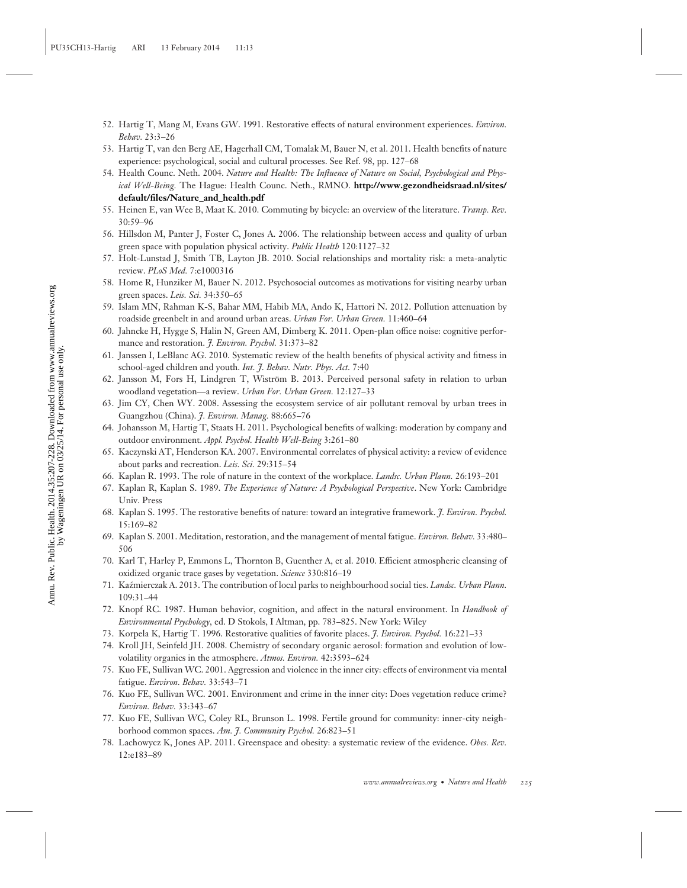- 52. Hartig T, Mang M, Evans GW. 1991. Restorative effects of natural environment experiences. *Environ. Behav.* 23:3–26
- 53. Hartig T, van den Berg AE, Hagerhall CM, Tomalak M, Bauer N, et al. 2011. Health benefits of nature experience: psychological, social and cultural processes. See Ref. 98, pp. 127–68
- 54. Health Counc. Neth. 2004. *Nature and Health: The Influence of Nature on Social, Psychological and Physical Well-Being.* The Hague: Health Counc. Neth., RMNO. **[http://www.gezondheidsraad.nl/sites/](http://www.gezondheidsraad.nl/sites/default/files/Nature_and_health.pdf) [default/files/Nature\\_and\\_health.pdf](http://www.gezondheidsraad.nl/sites/default/files/Nature_and_health.pdf)**
- 55. Heinen E, van Wee B, Maat K. 2010. Commuting by bicycle: an overview of the literature. *Transp. Rev.* 30:59–96
- 56. Hillsdon M, Panter J, Foster C, Jones A. 2006. The relationship between access and quality of urban green space with population physical activity. *Public Health* 120:1127–32
- 57. Holt-Lunstad J, Smith TB, Layton JB. 2010. Social relationships and mortality risk: a meta-analytic review. *PLoS Med.* 7:e1000316
- 58. Home R, Hunziker M, Bauer N. 2012. Psychosocial outcomes as motivations for visiting nearby urban green spaces. *Leis. Sci.* 34:350–65
- 59. Islam MN, Rahman K-S, Bahar MM, Habib MA, Ando K, Hattori N. 2012. Pollution attenuation by roadside greenbelt in and around urban areas. *Urban For. Urban Green.* 11:460–64
- 60. Jahncke H, Hygge S, Halin N, Green AM, Dimberg K. 2011. Open-plan office noise: cognitive performance and restoration. *J. Environ. Psychol.* 31:373–82
- 61. Janssen I, LeBlanc AG. 2010. Systematic review of the health benefits of physical activity and fitness in school-aged children and youth. *Int. J. Behav. Nutr. Phys. Act.* 7:40
- 62. Jansson M, Fors H, Lindgren T, Wiström B. 2013. Perceived personal safety in relation to urban woodland vegetation—a review. *Urban For. Urban Green.* 12:127–33
- 63. Jim CY, Chen WY. 2008. Assessing the ecosystem service of air pollutant removal by urban trees in Guangzhou (China). *J. Environ. Manag.* 88:665–76
- 64. Johansson M, Hartig T, Staats H. 2011. Psychological benefits of walking: moderation by company and outdoor environment. *Appl. Psychol. Health Well-Being* 3:261–80
- 65. Kaczynski AT, Henderson KA. 2007. Environmental correlates of physical activity: a review of evidence about parks and recreation. *Leis. Sci.* 29:315–54
- 66. Kaplan R. 1993. The role of nature in the context of the workplace. *Landsc. Urban Plann.* 26:193–201
- 67. Kaplan R, Kaplan S. 1989. *The Experience of Nature: A Psychological Perspective*. New York: Cambridge Univ. Press
- 68. Kaplan S. 1995. The restorative benefits of nature: toward an integrative framework. *J. Environ. Psychol.* 15:169–82
- 69. Kaplan S. 2001. Meditation, restoration, and the management of mental fatigue. *Environ. Behav.* 33:480– 506
- 70. Karl T, Harley P, Emmons L, Thornton B, Guenther A, et al. 2010. Efficient atmospheric cleansing of oxidized organic trace gases by vegetation. *Science* 330:816–19
- 71. Kaźmierczak A. 2013. The contribution of local parks to neighbourhood social ties. *Landsc. Urban Plann*. 109:31–44
- 72. Knopf RC. 1987. Human behavior, cognition, and affect in the natural environment. In *Handbook of Environmental Psychology*, ed. D Stokols, I Altman, pp. 783–825. New York: Wiley
- 73. Korpela K, Hartig T. 1996. Restorative qualities of favorite places. *J. Environ. Psychol.* 16:221–33
- 74. Kroll JH, Seinfeld JH. 2008. Chemistry of secondary organic aerosol: formation and evolution of lowvolatility organics in the atmosphere. *Atmos. Environ.* 42:3593–624
- 75. Kuo FE, Sullivan WC. 2001. Aggression and violence in the inner city: effects of environment via mental fatigue. *Environ. Behav.* 33:543–71
- 76. Kuo FE, Sullivan WC. 2001. Environment and crime in the inner city: Does vegetation reduce crime? *Environ. Behav.* 33:343–67
- 77. Kuo FE, Sullivan WC, Coley RL, Brunson L. 1998. Fertile ground for community: inner-city neighborhood common spaces. *Am. J. Community Psychol.* 26:823–51
- 78. Lachowycz K, Jones AP. 2011. Greenspace and obesity: a systematic review of the evidence. *Obes. Rev.* 12:e183–89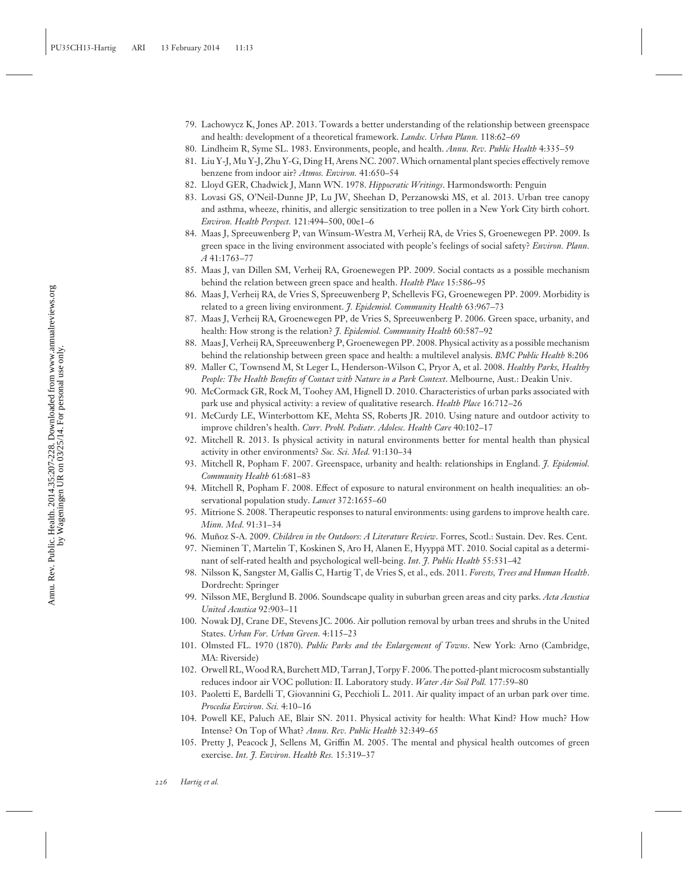- 79. Lachowycz K, Jones AP. 2013. Towards a better understanding of the relationship between greenspace and health: development of a theoretical framework. *Landsc. Urban Plann.* 118:62–69
- 80. Lindheim R, Syme SL. 1983. Environments, people, and health. *Annu. Rev. Public Health* 4:335–59
- 81. Liu Y-J, Mu Y-J, Zhu Y-G, Ding H, Arens NC. 2007. Which ornamental plant species effectively remove benzene from indoor air? *Atmos. Environ.* 41:650–54
- 82. Lloyd GER, Chadwick J, Mann WN. 1978. *Hippocratic Writings*. Harmondsworth: Penguin
- 83. Lovasi GS, O'Neil-Dunne JP, Lu JW, Sheehan D, Perzanowski MS, et al. 2013. Urban tree canopy and asthma, wheeze, rhinitis, and allergic sensitization to tree pollen in a New York City birth cohort. *Environ. Health Perspect.* 121:494–500, 00e1–6
- 84. Maas J, Spreeuwenberg P, van Winsum-Westra M, Verheij RA, de Vries S, Groenewegen PP. 2009. Is green space in the living environment associated with people's feelings of social safety? *Environ. Plann. A* 41:1763–77
- 85. Maas J, van Dillen SM, Verheij RA, Groenewegen PP. 2009. Social contacts as a possible mechanism behind the relation between green space and health. *Health Place* 15:586–95
- 86. Maas J, Verheij RA, de Vries S, Spreeuwenberg P, Schellevis FG, Groenewegen PP. 2009. Morbidity is related to a green living environment. *J. Epidemiol. Community Health* 63:967–73
- 87. Maas J, Verheij RA, Groenewegen PP, de Vries S, Spreeuwenberg P. 2006. Green space, urbanity, and health: How strong is the relation? *J. Epidemiol. Community Health* 60:587–92
- 88. Maas J, Verheij RA, Spreeuwenberg P, Groenewegen PP. 2008. Physical activity as a possible mechanism behind the relationship between green space and health: a multilevel analysis. *BMC Public Health* 8:206
- 89. Maller C, Townsend M, St Leger L, Henderson-Wilson C, Pryor A, et al. 2008. *Healthy Parks, Healthy People: The Health Benefits of Contact with Nature in a Park Context*. Melbourne, Aust.: Deakin Univ.
- 90. McCormack GR, Rock M, Toohey AM, Hignell D. 2010. Characteristics of urban parks associated with park use and physical activity: a review of qualitative research. *Health Place* 16:712–26
- 91. McCurdy LE, Winterbottom KE, Mehta SS, Roberts JR. 2010. Using nature and outdoor activity to improve children's health. *Curr. Probl. Pediatr. Adolesc. Health Care* 40:102–17
- 92. Mitchell R. 2013. Is physical activity in natural environments better for mental health than physical activity in other environments? *Soc. Sci. Med.* 91:130–34
- 93. Mitchell R, Popham F. 2007. Greenspace, urbanity and health: relationships in England. *J. Epidemiol. Community Health* 61:681–83
- 94. Mitchell R, Popham F. 2008. Effect of exposure to natural environment on health inequalities: an observational population study. *Lancet* 372:1655–60
- 95. Mitrione S. 2008. Therapeutic responses to natural environments: using gardens to improve health care. *Minn. Med.* 91:31–34
- 96. Muñoz S-A. 2009. Children in the Outdoors: A Literature Review. Forres, Scotl.: Sustain. Dev. Res. Cent.
- 97. Nieminen T, Martelin T, Koskinen S, Aro H, Alanen E, Hyyppa MT. 2010. Social capital as a determi- ¨ nant of self-rated health and psychological well-being. *Int. J. Public Health* 55:531–42
- 98. Nilsson K, Sangster M, Gallis C, Hartig T, de Vries S, et al., eds. 2011. *Forests, Trees and Human Health*. Dordrecht: Springer
- 99. Nilsson ME, Berglund B. 2006. Soundscape quality in suburban green areas and city parks. *Acta Acustica United Acustica* 92:903–11
- 100. Nowak DJ, Crane DE, Stevens JC. 2006. Air pollution removal by urban trees and shrubs in the United States. *Urban For. Urban Green.* 4:115–23
- 101. Olmsted FL. 1970 (1870). *Public Parks and the Enlargement of Towns*. New York: Arno (Cambridge, MA: Riverside)
- 102. Orwell RL, Wood RA, Burchett MD, Tarran J, Torpy F. 2006. The potted-plant microcosm substantially reduces indoor air VOC pollution: II. Laboratory study. *Water Air Soil Poll.* 177:59–80
- 103. Paoletti E, Bardelli T, Giovannini G, Pecchioli L. 2011. Air quality impact of an urban park over time. *Procedia Environ. Sci.* 4:10–16
- 104. Powell KE, Paluch AE, Blair SN. 2011. Physical activity for health: What Kind? How much? How Intense? On Top of What? *Annu. Rev. Public Health* 32:349–65
- 105. Pretty J, Peacock J, Sellens M, Griffin M. 2005. The mental and physical health outcomes of green exercise. *Int. J. Environ. Health Res.* 15:319–37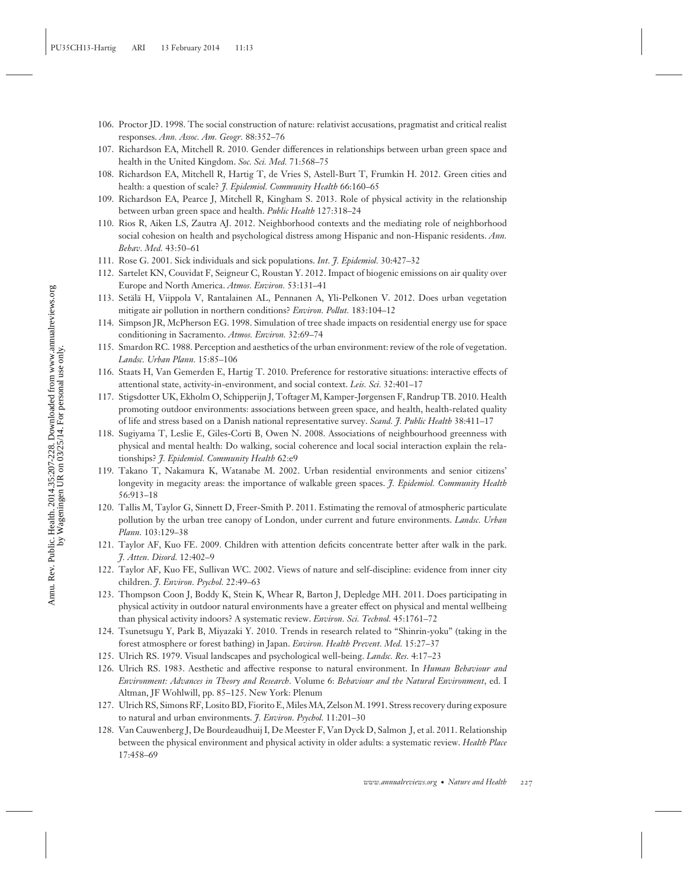- 106. Proctor JD. 1998. The social construction of nature: relativist accusations, pragmatist and critical realist responses. *Ann. Assoc. Am. Geogr.* 88:352–76
- 107. Richardson EA, Mitchell R. 2010. Gender differences in relationships between urban green space and health in the United Kingdom. *Soc. Sci. Med.* 71:568–75
- 108. Richardson EA, Mitchell R, Hartig T, de Vries S, Astell-Burt T, Frumkin H. 2012. Green cities and health: a question of scale? *J. Epidemiol. Community Health* 66:160–65
- 109. Richardson EA, Pearce J, Mitchell R, Kingham S. 2013. Role of physical activity in the relationship between urban green space and health. *Public Health* 127:318–24
- 110. Rios R, Aiken LS, Zautra AJ. 2012. Neighborhood contexts and the mediating role of neighborhood social cohesion on health and psychological distress among Hispanic and non-Hispanic residents. *Ann. Behav. Med.* 43:50–61
- 111. Rose G. 2001. Sick individuals and sick populations. *Int. J. Epidemiol.* 30:427–32
- 112. Sartelet KN, Couvidat F, Seigneur C, Roustan Y. 2012. Impact of biogenic emissions on air quality over Europe and North America. *Atmos. Environ.* 53:131–41
- 113. Setälä H, Viippola V, Rantalainen AL, Pennanen A, Yli-Pelkonen V. 2012. Does urban vegetation mitigate air pollution in northern conditions? *Environ. Pollut.* 183:104–12
- 114. Simpson JR, McPherson EG. 1998. Simulation of tree shade impacts on residential energy use for space conditioning in Sacramento. *Atmos. Environ.* 32:69–74
- 115. Smardon RC. 1988. Perception and aesthetics of the urban environment: review of the role of vegetation. *Landsc. Urban Plann.* 15:85–106
- 116. Staats H, Van Gemerden E, Hartig T. 2010. Preference for restorative situations: interactive effects of attentional state, activity-in-environment, and social context. *Leis. Sci.* 32:401–17
- 117. Stigsdotter UK, Ekholm O, Schipperijn J, Toftager M, Kamper-Jørgensen F, Randrup TB. 2010. Health promoting outdoor environments: associations between green space, and health, health-related quality of life and stress based on a Danish national representative survey. *Scand. J. Public Health* 38:411–17
- 118. Sugiyama T, Leslie E, Giles-Corti B, Owen N. 2008. Associations of neighbourhood greenness with physical and mental health: Do walking, social coherence and local social interaction explain the relationships? *J. Epidemiol. Community Health* 62:e9
- 119. Takano T, Nakamura K, Watanabe M. 2002. Urban residential environments and senior citizens' longevity in megacity areas: the importance of walkable green spaces. *J. Epidemiol. Community Health* 56:913–18
- 120. Tallis M, Taylor G, Sinnett D, Freer-Smith P. 2011. Estimating the removal of atmospheric particulate pollution by the urban tree canopy of London, under current and future environments. *Landsc. Urban Plann.* 103:129–38
- 121. Taylor AF, Kuo FE. 2009. Children with attention deficits concentrate better after walk in the park. *J. Atten. Disord.* 12:402–9
- 122. Taylor AF, Kuo FE, Sullivan WC. 2002. Views of nature and self-discipline: evidence from inner city children. *J. Environ. Psychol.* 22:49–63
- 123. Thompson Coon J, Boddy K, Stein K, Whear R, Barton J, Depledge MH. 2011. Does participating in physical activity in outdoor natural environments have a greater effect on physical and mental wellbeing than physical activity indoors? A systematic review. *Environ. Sci. Technol.* 45:1761–72
- 124. Tsunetsugu Y, Park B, Miyazaki Y. 2010. Trends in research related to "Shinrin-yoku" (taking in the forest atmosphere or forest bathing) in Japan. *Environ. Health Prevent. Med.* 15:27–37
- 125. Ulrich RS. 1979. Visual landscapes and psychological well-being. *Landsc. Res.* 4:17–23
- 126. Ulrich RS. 1983. Aesthetic and affective response to natural environment. In *Human Behaviour and Environment: Advances in Theory and Research.* Volume 6: *Behaviour and the Natural Environment*, ed. I Altman, JF Wohlwill, pp. 85–125. New York: Plenum
- 127. Ulrich RS, Simons RF, Losito BD, Fiorito E, Miles MA, Zelson M. 1991. Stress recovery during exposure to natural and urban environments. *J. Environ. Psychol.* 11:201–30
- 128. Van Cauwenberg J, De Bourdeaudhuij I, De Meester F, Van Dyck D, Salmon J, et al. 2011. Relationship between the physical environment and physical activity in older adults: a systematic review. *Health Place* 17:458–69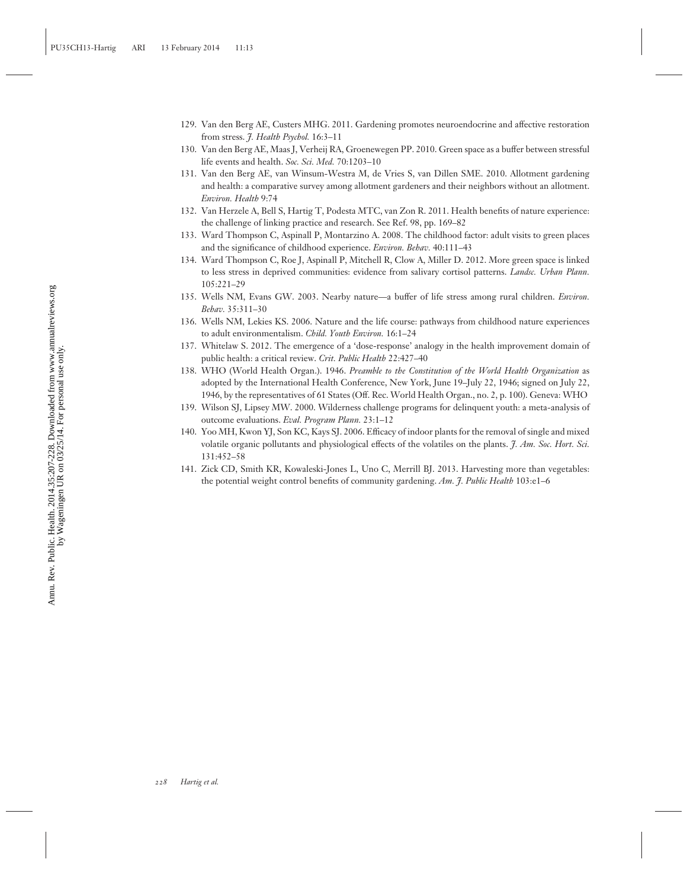- 129. Van den Berg AE, Custers MHG. 2011. Gardening promotes neuroendocrine and affective restoration from stress. *J. Health Psychol.* 16:3–11
- 130. Van den Berg AE, Maas J, Verheij RA, Groenewegen PP. 2010. Green space as a buffer between stressful life events and health. *Soc. Sci. Med.* 70:1203–10
- 131. Van den Berg AE, van Winsum-Westra M, de Vries S, van Dillen SME. 2010. Allotment gardening and health: a comparative survey among allotment gardeners and their neighbors without an allotment. *Environ. Health* 9:74
- 132. Van Herzele A, Bell S, Hartig T, Podesta MTC, van Zon R. 2011. Health benefits of nature experience: the challenge of linking practice and research. See Ref. 98, pp. 169–82
- 133. Ward Thompson C, Aspinall P, Montarzino A. 2008. The childhood factor: adult visits to green places and the significance of childhood experience. *Environ. Behav.* 40:111–43
- 134. Ward Thompson C, Roe J, Aspinall P, Mitchell R, Clow A, Miller D. 2012. More green space is linked to less stress in deprived communities: evidence from salivary cortisol patterns. *Landsc. Urban Plann.* 105:221–29
- 135. Wells NM, Evans GW. 2003. Nearby nature—a buffer of life stress among rural children. *Environ. Behav.* 35:311–30
- 136. Wells NM, Lekies KS. 2006. Nature and the life course: pathways from childhood nature experiences to adult environmentalism. *Child. Youth Environ.* 16:1–24
- 137. Whitelaw S. 2012. The emergence of a 'dose-response' analogy in the health improvement domain of public health: a critical review. *Crit. Public Health* 22:427–40
- 138. WHO (World Health Organ.). 1946. *Preamble to the Constitution of the World Health Organization* as adopted by the International Health Conference, New York, June 19–July 22, 1946; signed on July 22, 1946, by the representatives of 61 States (Off. Rec. World Health Organ., no. 2, p. 100). Geneva: WHO
- 139. Wilson SJ, Lipsey MW. 2000. Wilderness challenge programs for delinquent youth: a meta-analysis of outcome evaluations. *Eval. Program Plann.* 23:1–12
- 140. Yoo MH, Kwon YJ, Son KC, Kays SJ. 2006. Efficacy of indoor plants for the removal of single and mixed volatile organic pollutants and physiological effects of the volatiles on the plants. *J. Am. Soc. Hort. Sci.* 131:452–58
- 141. Zick CD, Smith KR, Kowaleski-Jones L, Uno C, Merrill BJ. 2013. Harvesting more than vegetables: the potential weight control benefits of community gardening. *Am. J. Public Health* 103:e1–6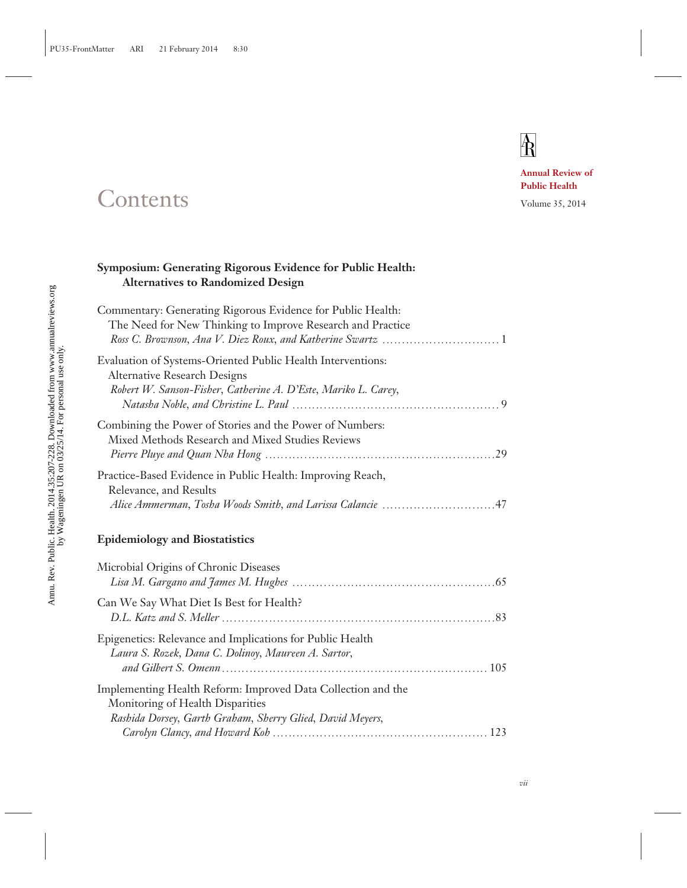# $\, \mathrm{R}$

**Annual Review of Public Health**

# Contents Volume 35, 2014

## **Symposium: Generating Rigorous Evidence for Public Health: Alternatives to Randomized Design**

| Commentary: Generating Rigorous Evidence for Public Health:<br>The Need for New Thinking to Improve Research and Practice                                            |  |
|----------------------------------------------------------------------------------------------------------------------------------------------------------------------|--|
| Evaluation of Systems-Oriented Public Health Interventions:<br><b>Alternative Research Designs</b><br>Robert W. Sanson-Fisher, Catherine A. D'Este, Mariko L. Carey, |  |
| Combining the Power of Stories and the Power of Numbers:<br>Mixed Methods Research and Mixed Studies Reviews                                                         |  |
| Practice-Based Evidence in Public Health: Improving Reach,<br>Relevance, and Results<br>Alice Ammerman, Tosha Woods Smith, and Larissa Calancie 47                   |  |
| <b>Epidemiology and Biostatistics</b>                                                                                                                                |  |
| Microbial Origins of Chronic Diseases                                                                                                                                |  |
| Can We Say What Diet Is Best for Health?                                                                                                                             |  |
| Epigenetics: Relevance and Implications for Public Health<br>Laura S. Rozek, Dana C. Dolinoy, Maureen A. Sartor,                                                     |  |
| Implementing Health Reform: Improved Data Collection and the<br>Monitoring of Health Disparities                                                                     |  |

| Rashida Dorsey, Garth Graham, Sherry Glied, David Meyers, |  |  |  |  |  |
|-----------------------------------------------------------|--|--|--|--|--|
|                                                           |  |  |  |  |  |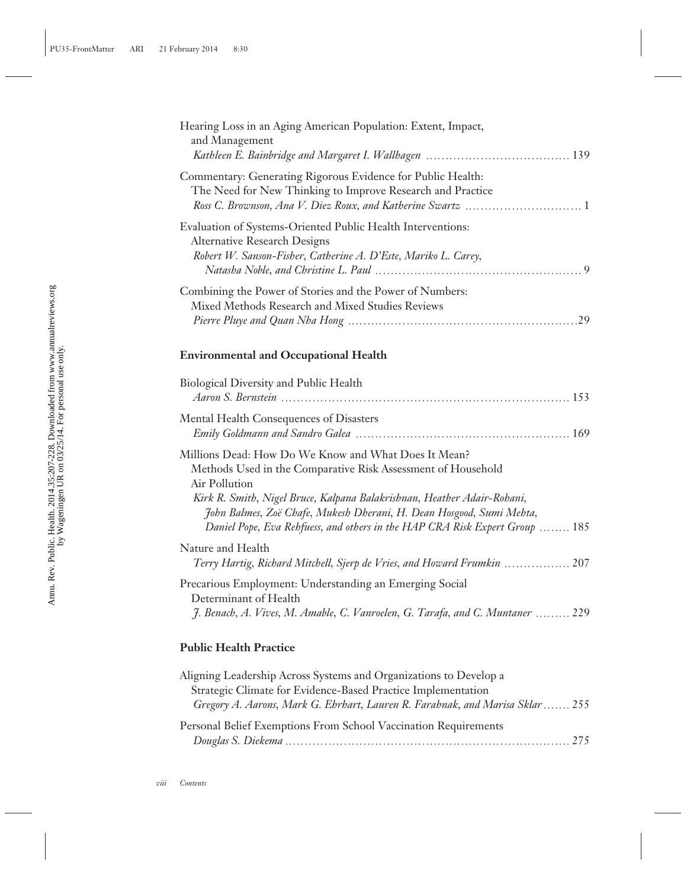| Hearing Loss in an Aging American Population: Extent, Impact,<br>and Management                                                                                                                                                                                                                                                                                                |
|--------------------------------------------------------------------------------------------------------------------------------------------------------------------------------------------------------------------------------------------------------------------------------------------------------------------------------------------------------------------------------|
| Commentary: Generating Rigorous Evidence for Public Health:<br>The Need for New Thinking to Improve Research and Practice                                                                                                                                                                                                                                                      |
| Evaluation of Systems-Oriented Public Health Interventions:<br><b>Alternative Research Designs</b><br>Robert W. Sanson-Fisher, Catherine A. D'Este, Mariko L. Carey,                                                                                                                                                                                                           |
| Combining the Power of Stories and the Power of Numbers:<br>Mixed Methods Research and Mixed Studies Reviews                                                                                                                                                                                                                                                                   |
| <b>Environmental and Occupational Health</b><br>Biological Diversity and Public Health                                                                                                                                                                                                                                                                                         |
| Mental Health Consequences of Disasters                                                                                                                                                                                                                                                                                                                                        |
| Millions Dead: How Do We Know and What Does It Mean?<br>Methods Used in the Comparative Risk Assessment of Household<br><b>Air Pollution</b><br>Kirk R. Smith, Nigel Bruce, Kalpana Balakrishnan, Heather Adair-Rohani,<br>John Balmes, Zoë Chafe, Mukesh Dherani, H. Dean Hosgood, Sumi Mehta,<br>Daniel Pope, Eva Rehfuess, and others in the HAP CRA Risk Expert Group  185 |
| Nature and Health<br>Terry Hartig, Richard Mitchell, Sjerp de Vries, and Howard Frumkin  207                                                                                                                                                                                                                                                                                   |
| Precarious Employment: Understanding an Emerging Social<br>Determinant of Health<br>J. Benach, A. Vives, M. Amable, C. Vanroelen, G. Tarafa, and C. Muntaner  229                                                                                                                                                                                                              |

# **Public Health Practice**

| Aligning Leadership Across Systems and Organizations to Develop a             |
|-------------------------------------------------------------------------------|
| Strategic Climate for Evidence-Based Practice Implementation                  |
| Gregory A. Aarons, Mark G. Ehrhart, Lauren R. Farahnak, and Marisa Sklar  255 |
| Personal Belief Exemptions From School Vaccination Requirements               |
|                                                                               |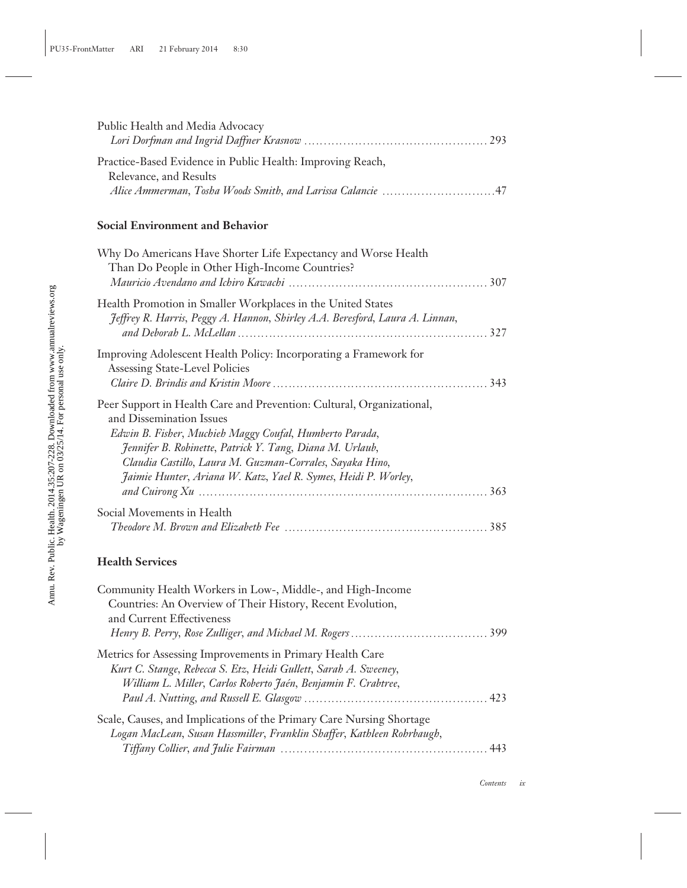| Practice-Based Evidence in Public Health: Improving Reach,<br>Relevance, and Results<br>Alice Ammerman, Tosha Woods Smith, and Larissa Calancie 47                                                                                                                                                                                                     |  |
|--------------------------------------------------------------------------------------------------------------------------------------------------------------------------------------------------------------------------------------------------------------------------------------------------------------------------------------------------------|--|
| <b>Social Environment and Behavior</b>                                                                                                                                                                                                                                                                                                                 |  |
| Why Do Americans Have Shorter Life Expectancy and Worse Health<br>Than Do People in Other High-Income Countries?                                                                                                                                                                                                                                       |  |
| Health Promotion in Smaller Workplaces in the United States<br>Jeffrey R. Harris, Peggy A. Hannon, Shirley A.A. Beresford, Laura A. Linnan,                                                                                                                                                                                                            |  |
| Improving Adolescent Health Policy: Incorporating a Framework for<br>Assessing State-Level Policies                                                                                                                                                                                                                                                    |  |
| Peer Support in Health Care and Prevention: Cultural, Organizational,<br>and Dissemination Issues<br>Edwin B. Fisher, Muchieh Maggy Coufal, Humberto Parada,<br>Jennifer B. Robinette, Patrick Y. Tang, Diana M. Urlaub,<br>Claudia Castillo, Laura M. Guzman-Corrales, Sayaka Hino,<br>Jaimie Hunter, Ariana W. Katz, Yael R. Symes, Heidi P. Worley, |  |
| Social Movements in Health                                                                                                                                                                                                                                                                                                                             |  |
| <b>Health Services</b>                                                                                                                                                                                                                                                                                                                                 |  |
| Community Health Workers in Low-, Middle-, and High-Income<br>Countries: An Overview of Their History, Recent Evolution,<br>and Current Effectiveness                                                                                                                                                                                                  |  |
| Metrics for Assessing Improvements in Primary Health Care<br>Kurt C. Stange, Rebecca S. Etz, Heidi Gullett, Sarah A. Sweeney,<br>William L. Miller, Carlos Roberto Jaén, Benjamin F. Crabtree,                                                                                                                                                         |  |
| Scale, Causes, and Implications of the Primary Care Nursing Shortage<br>Logan MacLean, Susan Hassmiller, Franklin Shaffer, Kathleen Rohrbaugh,                                                                                                                                                                                                         |  |
|                                                                                                                                                                                                                                                                                                                                                        |  |

Public Health and Media Advocacy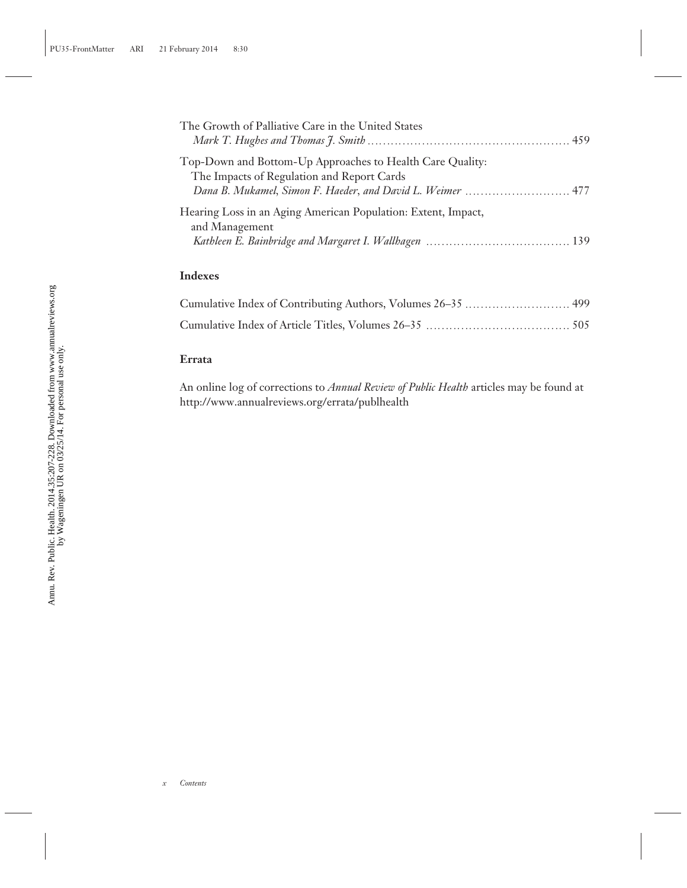| The Growth of Palliative Care in the United States                                                      |
|---------------------------------------------------------------------------------------------------------|
| Top-Down and Bottom-Up Approaches to Health Care Quality:<br>The Impacts of Regulation and Report Cards |
| Hearing Loss in an Aging American Population: Extent, Impact,<br>and Management                         |

### **Indexes**

### **Errata**

An online log of corrections to *Annual Review of Public Health* articles may be found at http://www.annualreviews.org/errata/publhealth